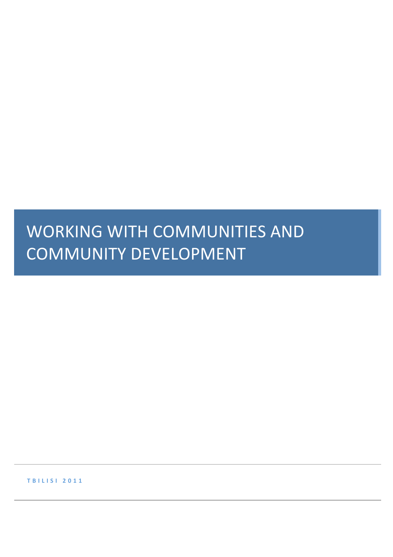# WORKING WITH COMMUNITIES AND COMMUNITY DEVELOPMENT

**T B I L I S I 2 0 1 1**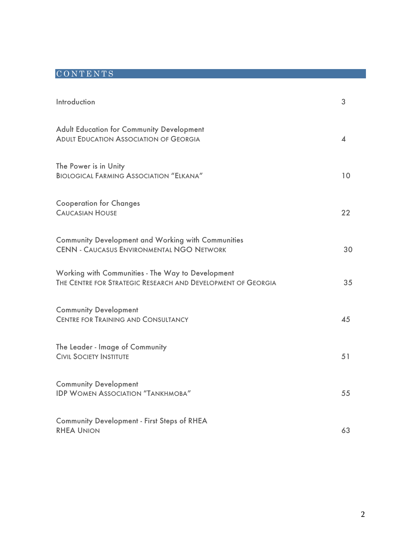# CONTENTS

| Introduction                                                                                                      | 3                       |
|-------------------------------------------------------------------------------------------------------------------|-------------------------|
| <b>Adult Education for Community Development</b><br><b>ADULT EDUCATION ASSOCIATION OF GEORGIA</b>                 | $\overline{\mathbf{4}}$ |
| The Power is in Unity<br><b>BIOLOGICAL FARMING ASSOCIATION "ELKANA"</b>                                           | 10 <sup>°</sup>         |
| <b>Cooperation for Changes</b><br><b>CAUCASIAN HOUSE</b>                                                          | 22                      |
| <b>Community Development and Working with Communities</b><br><b>CENN - CAUCASUS ENVIRONMENTAL NGO NETWORK</b>     | 30                      |
| Working with Communities - The Way to Development<br>THE CENTRE FOR STRATEGIC RESEARCH AND DEVELOPMENT OF GEORGIA | 35                      |
| <b>Community Development</b><br><b>CENTRE FOR TRAINING AND CONSULTANCY</b>                                        | 45                      |
| The Leader - Image of Community<br><b>CIVIL SOCIETY INSTITUTE</b>                                                 | 51                      |
| <b>Community Development</b><br><b>IDP WOMEN ASSOCIATION "TANKHMOBA"</b>                                          | 55                      |
| <b>Community Development - First Steps of RHEA</b><br><b>RHEA UNION</b>                                           | 63                      |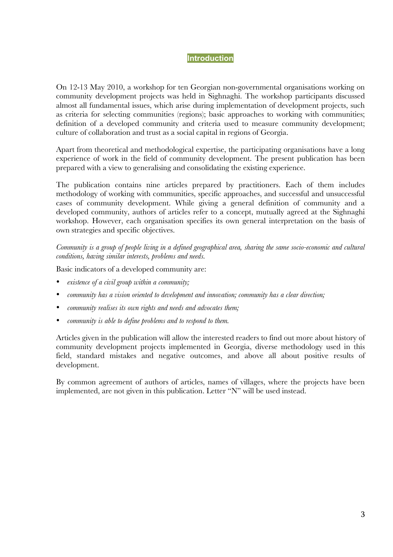#### **Introduction**

On 12-13 May 2010, a workshop for ten Georgian non-governmental organisations working on community development projects was held in Sighnaghi. The workshop participants discussed almost all fundamental issues, which arise during implementation of development projects, such as criteria for selecting communities (regions); basic approaches to working with communities; definition of a developed community and criteria used to measure community development; culture of collaboration and trust as a social capital in regions of Georgia.

Apart from theoretical and methodological expertise, the participating organisations have a long experience of work in the field of community development. The present publication has been prepared with a view to generalising and consolidating the existing experience.

The publication contains nine articles prepared by practitioners. Each of them includes methodology of working with communities, specific approaches, and successful and unsuccessful cases of community development. While giving a general definition of community and a developed community, authors of articles refer to a concept, mutually agreed at the Sighnaghi workshop. However, each organisation specifies its own general interpretation on the basis of own strategies and specific objectives.

*Community is a group of people living in a defined geographical area, sharing the same socio-economic and cultural conditions, having similar interests, problems and needs.* 

Basic indicators of a developed community are:

- *existence of a civil group within a community;*
- *community has a vision oriented to development and innovation; community has a clear direction;*
- *community realises its own rights and needs and advocates them;*
- *community is able to define problems and to respond to them.*

Articles given in the publication will allow the interested readers to find out more about history of community development projects implemented in Georgia, diverse methodology used in this field, standard mistakes and negative outcomes, and above all about positive results of development.

By common agreement of authors of articles, names of villages, where the projects have been implemented, are not given in this publication. Letter "N" will be used instead.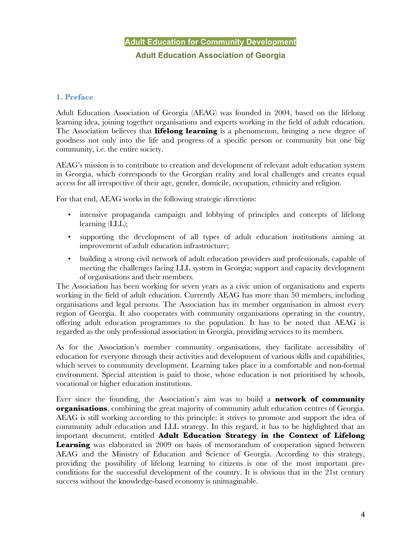# **Adult Education for Community Development Adult Education Association of Georgia**

# **1. Preface**

Adult Education Association of Georgia (AEAG) was founded in 2004, based on the lifelong learning idea, joining together organisations and experts working in the field of adult education. The Association believes that **lifelong learning** is a phenomenon, bringing a new degree of goodness not only into the life and progress of a specific person or community but one big community, i.e. the entire society.

AEAG's mission is to contribute to creation and development of relevant adult education system in Georgia, which corresponds to the Georgian reality and local challenges and creates equal access for all irrespective of their age, gender, domicile, occupation, ethnicity and religion.

For that end, AEAG works in the following strategic directions:

- intensive propaganda campaign and lobbying of principles and concepts of lifelong learning (LLL);
- supporting the development of all types of adult education institutions aiming at improvement of adult education infrastructure;
- building a strong civil network of adult education providers and professionals, capable of meeting the challenges facing LLL system in Georgia; support and capacity development of organisations and their members.

The Association has been working for seven years as a civic union of organisations and experts working in the field of adult education. Currently AEAG has more than 50 members, including organisations and legal persons. The Association has its member organisation in almost every region of Georgia. It also cooperates with community organisations operating in the country, offering adult education programmes to the population. It has to be noted that AEAG is regarded as the only professional association in Georgia, providing services to its members.

As for the Association's member community organisations, they facilitate accessibility of education for everyone through their activities and development of various skills and capabilities, which serves to community development. Learning takes place in a comfortable and non-formal environment. Special attention is paid to those, whose education is not prioritised by schools, vocational or higher education institutions.

Ever since the founding, the Association's aim was to build a **network of community organisations**, combining the great majority of community adult education centres of Georgia. AEAG is still working according to this principle: it strives to promote and support the idea of community adult education and LLL strategy. In this regard, it has to be highlighted that an important document, entitled **Adult Education Strategy in the Context of Lifelong**  Learning was elaborated in 2009 on basis of memorandum of cooperation signed between AEAG and the Ministry of Education and Science of Georgia. According to this strategy, providing the possibility of lifelong learning to citizens is one of the most important preconditions for the successful development of the country. It is obvious that in the 21st century success without the knowledge-based economy is unimaginable.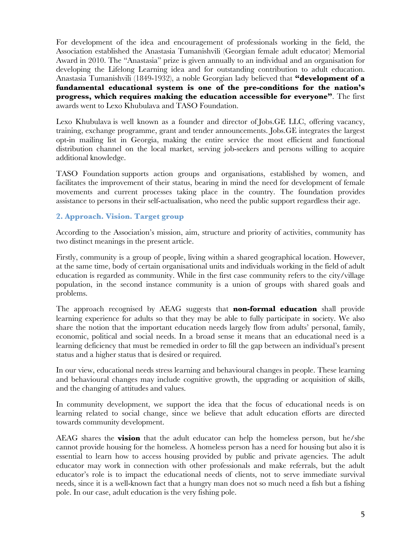For development of the idea and encouragement of professionals working in the field, the Association established the Anastasia Tumanishvili (Georgian female adult educator) Memorial Award in 2010. The "Anastasia" prize is given annually to an individual and an organisation for developing the Lifelong Learning idea and for outstanding contribution to adult education. Anastasia Tumanishvili (1849-1932), a noble Georgian lady believed that **"development of a fundamental educational system is one of the pre-conditions for the nation's progress, which requires making the education accessible for everyone"**. The first awards went to Lexo Khubulava and TASO Foundation.

Lexo Khubulava is well known as a founder and director of Jobs.GE LLC, offering vacancy, training, exchange programme, grant and tender announcements. Jobs.GE integrates the largest opt-in mailing list in Georgia, making the entire service the most efficient and functional distribution channel on the local market, serving job-seekers and persons willing to acquire additional knowledge.

TASO Foundation supports action groups and organisations, established by women, and facilitates the improvement of their status, bearing in mind the need for development of female movements and current processes taking place in the country. The foundation provides assistance to persons in their self-actualisation, who need the public support regardless their age.

# **2. Approach. Vision. Target group**

According to the Association's mission, aim, structure and priority of activities, community has two distinct meanings in the present article.

Firstly, community is a group of people, living within a shared geographical location. However, at the same time, body of certain organisational units and individuals working in the field of adult education is regarded as community. While in the first case community refers to the city/village population, in the second instance community is a union of groups with shared goals and problems.

The approach recognised by AEAG suggests that **non-formal education** shall provide learning experience for adults so that they may be able to fully participate in society. We also share the notion that the important education needs largely flow from adults' personal, family, economic, political and social needs. In a broad sense it means that an educational need is a learning deficiency that must be remedied in order to fill the gap between an individual's present status and a higher status that is desired or required.

In our view, educational needs stress learning and behavioural changes in people. These learning and behavioural changes may include cognitive growth, the upgrading or acquisition of skills, and the changing of attitudes and values.

In community development, we support the idea that the focus of educational needs is on learning related to social change, since we believe that adult education efforts are directed towards community development.

AEAG shares the **vision** that the adult educator can help the homeless person, but he/she cannot provide housing for the homeless. A homeless person has a need for housing but also it is essential to learn how to access housing provided by public and private agencies. The adult educator may work in connection with other professionals and make referrals, but the adult educator's role is to impact the educational needs of clients, not to serve immediate survival needs, since it is a well-known fact that a hungry man does not so much need a fish but a fishing pole. In our case, adult education is the very fishing pole.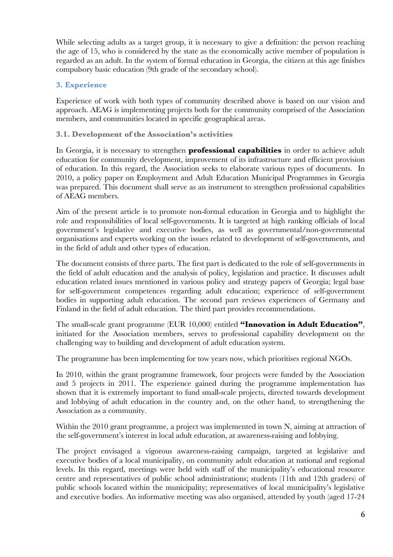While selecting adults as a target group, it is necessary to give a definition: the person reaching the age of 15, who is considered by the state as the economically active member of population is regarded as an adult. In the system of formal education in Georgia, the citizen at this age finishes compulsory basic education (9th grade of the secondary school).

# **3. Experience**

Experience of work with both types of community described above is based on our vision and approach. AEAG is implementing projects both for the community comprised of the Association members, and communities located in specific geographical areas.

# **3.1. Development of the Association's activities**

In Georgia, it is necessary to strengthen **professional capabilities** in order to achieve adult education for community development, improvement of its infrastructure and efficient provision of education. In this regard, the Association seeks to elaborate various types of documents. In 2010, a policy paper on Employment and Adult Education Municipal Programmes in Georgia was prepared. This document shall serve as an instrument to strengthen professional capabilities of AEAG members.

Aim of the present article is to promote non-formal education in Georgia and to highlight the role and responsibilities of local self-governments. It is targeted at high ranking officials of local government's legislative and executive bodies, as well as governmental/non-governmental organisations and experts working on the issues related to development of self-governments, and in the field of adult and other types of education.

The document consists of three parts. The first part is dedicated to the role of self-governments in the field of adult education and the analysis of policy, legislation and practice. It discusses adult education related issues mentioned in various policy and strategy papers of Georgia; legal base for self-government competences regarding adult education; experience of self-government bodies in supporting adult education. The second part reviews experiences of Germany and Finland in the field of adult education. The third part provides recommendations.

The small-scale grant programme (EUR 10,000) entitled **"Innovation in Adult Education"**, initiated for the Association members, serves to professional capability development on the challenging way to building and development of adult education system.

The programme has been implementing for tow years now, which prioritises regional NGOs.

In 2010, within the grant programme framework, four projects were funded by the Association and 5 projects in 2011. The experience gained during the programme implementation has shown that it is extremely important to fund small-scale projects, directed towards development and lobbying of adult education in the country and, on the other hand, to strengthening the Association as a community.

Within the 2010 grant programme, a project was implemented in town N, aiming at attraction of the self-government's interest in local adult education, at awareness-raising and lobbying.

The project envisaged a vigorous awareness-raising campaign, targeted at legislative and executive bodies of a local municipality, on community adult education at national and regional levels. In this regard, meetings were held with staff of the municipality's educational resource centre and representatives of public school administrations; students (11th and 12th graders) of public schools located within the municipality; representatives of local municipality's legislative and executive bodies. An informative meeting was also organised, attended by youth (aged 17-24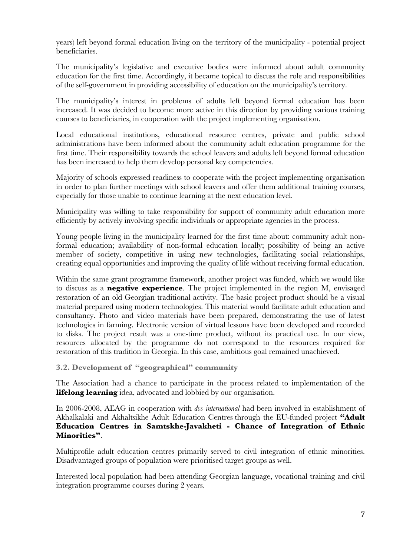years) left beyond formal education living on the territory of the municipality - potential project beneficiaries.

The municipality's legislative and executive bodies were informed about adult community education for the first time. Accordingly, it became topical to discuss the role and responsibilities of the self-government in providing accessibility of education on the municipality's territory.

The municipality's interest in problems of adults left beyond formal education has been increased. It was decided to become more active in this direction by providing various training courses to beneficiaries, in cooperation with the project implementing organisation.

Local educational institutions, educational resource centres, private and public school administrations have been informed about the community adult education programme for the first time. Their responsibility towards the school leavers and adults left beyond formal education has been increased to help them develop personal key competencies.

Majority of schools expressed readiness to cooperate with the project implementing organisation in order to plan further meetings with school leavers and offer them additional training courses, especially for those unable to continue learning at the next education level.

Municipality was willing to take responsibility for support of community adult education more efficiently by actively involving specific individuals or appropriate agencies in the process.

Young people living in the municipality learned for the first time about: community adult nonformal education; availability of non-formal education locally; possibility of being an active member of society, competitive in using new technologies, facilitating social relationships, creating equal opportunities and improving the quality of life without receiving formal education.

Within the same grant programme framework, another project was funded, which we would like to discuss as a **negative experience**. The project implemented in the region M, envisaged restoration of an old Georgian traditional activity. The basic project product should be a visual material prepared using modern technologies. This material would facilitate adult education and consultancy. Photo and video materials have been prepared, demonstrating the use of latest technologies in farming. Electronic version of virtual lessons have been developed and recorded to disks. The project result was a one-time product, without its practical use. In our view, resources allocated by the programme do not correspond to the resources required for restoration of this tradition in Georgia. In this case, ambitious goal remained unachieved.

**3.2. Development of "geographical" community**

The Association had a chance to participate in the process related to implementation of the **lifelong learning** idea, advocated and lobbied by our organisation.

In 2006-2008, AEAG in cooperation with *dvv international* had been involved in establishment of Akhalkalaki and Akhaltsikhe Adult Education Centres through the EU-funded project **"Adult Education Centres in Samtskhe-Javakheti - Chance of Integration of Ethnic Minorities"**.

Multiprofile adult education centres primarily served to civil integration of ethnic minorities. Disadvantaged groups of population were prioritised target groups as well.

Interested local population had been attending Georgian language, vocational training and civil integration programme courses during 2 years.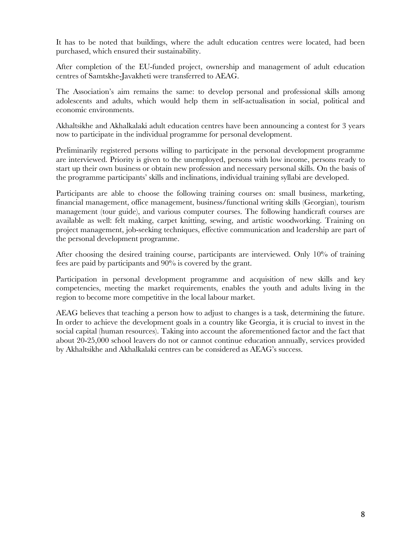It has to be noted that buildings, where the adult education centres were located, had been purchased, which ensured their sustainability.

After completion of the EU-funded project, ownership and management of adult education centres of Samtskhe-Javakheti were transferred to AEAG.

The Association's aim remains the same: to develop personal and professional skills among adolescents and adults, which would help them in self-actualisation in social, political and economic environments.

Akhaltsikhe and Akhalkalaki adult education centres have been announcing a contest for 3 years now to participate in the individual programme for personal development.

Preliminarily registered persons willing to participate in the personal development programme are interviewed. Priority is given to the unemployed, persons with low income, persons ready to start up their own business or obtain new profession and necessary personal skills. On the basis of the programme participants' skills and inclinations, individual training syllabi are developed.

Participants are able to choose the following training courses on: small business, marketing, financial management, office management, business/functional writing skills (Georgian), tourism management (tour guide), and various computer courses. The following handicraft courses are available as well: felt making, carpet knitting, sewing, and artistic woodworking. Training on project management, job-seeking techniques, effective communication and leadership are part of the personal development programme.

After choosing the desired training course, participants are interviewed. Only 10% of training fees are paid by participants and 90% is covered by the grant.

Participation in personal development programme and acquisition of new skills and key competencies, meeting the market requirements, enables the youth and adults living in the region to become more competitive in the local labour market.

AEAG believes that teaching a person how to adjust to changes is a task, determining the future. In order to achieve the development goals in a country like Georgia, it is crucial to invest in the social capital (human resources). Taking into account the aforementioned factor and the fact that about 20-25,000 school leavers do not or cannot continue education annually, services provided by Akhaltsikhe and Akhalkalaki centres can be considered as AEAG's success.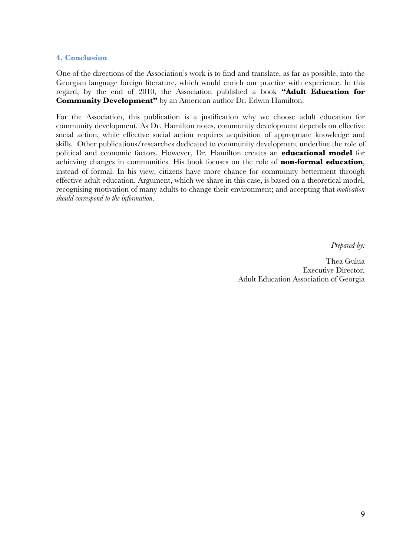#### **4. Conclusion**

One of the directions of the Association's work is to find and translate, as far as possible, into the Georgian language foreign literature, which would enrich our practice with experience. In this regard, by the end of 2010, the Association published a book **"Adult Education for Community Development"** by an American author Dr. Edwin Hamilton.

For the Association, this publication is a justification why we choose adult education for community development. As Dr. Hamilton notes, community development depends on effective social action; while effective social action requires acquisition of appropriate knowledge and skills. Other publications/researches dedicated to community development underline the role of political and economic factors. However, Dr. Hamilton creates an **educational model** for achieving changes in communities. His book focuses on the role of **non-formal education**, instead of formal. In his view, citizens have more chance for community betterment through effective adult education. Argument, which we share in this case, is based on a theoretical model, recognising motivation of many adults to change their environment; and accepting that *motivation should correspond to the information*.

*Prepared by:*

Thea Gulua Executive Director, Adult Education Association of Georgia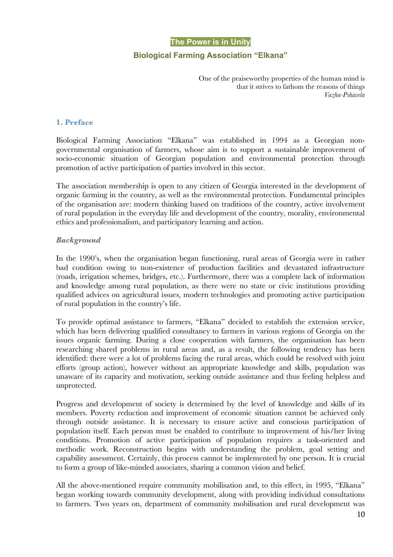#### **The Power is in Unity**

## **Biological Farming Association "Elkana"**

One of the praiseworthy properties of the human mind is that it strives to fathom the reasons of things *Vazha-Pshavela*

#### **1. Preface**

Biological Farming Association "Elkana" was established in 1994 as a Georgian nongovernmental organisation of farmers, whose aim is to support a sustainable improvement of socio-economic situation of Georgian population and environmental protection through promotion of active participation of parties involved in this sector.

The association membership is open to any citizen of Georgia interested in the development of organic farming in the country, as well as the environmental protection. Fundamental principles of the organisation are: modern thinking based on traditions of the country, active involvement of rural population in the everyday life and development of the country, morality, environmental ethics and professionalism, and participatory learning and action.

#### *Background*

In the 1990's, when the organisation began functioning, rural areas of Georgia were in rather bad condition owing to non-existence of production facilities and devastated infrastructure (roads, irrigation schemes, bridges, etc.). Furthermore, there was a complete lack of information and knowledge among rural population, as there were no state or civic institutions providing qualified advices on agricultural issues, modern technologies and promoting active participation of rural population in the country's life.

To provide optimal assistance to farmers, "Elkana" decided to establish the extension service, which has been delivering qualified consultancy to farmers in various regions of Georgia on the issues organic farming. During a close cooperation with farmers, the organisation has been researching shared problems in rural areas and, as a result, the following tendency has been identified: there were a lot of problems facing the rural areas, which could be resolved with joint efforts (group action), however without an appropriate knowledge and skills, population was unaware of its capacity and motivation, seeking outside assistance and thus feeling helpless and unprotected.

Progress and development of society is determined by the level of knowledge and skills of its members. Poverty reduction and improvement of economic situation cannot be achieved only through outside assistance. It is necessary to ensure active and conscious participation of population itself. Each person must be enabled to contribute to improvement of his/her living conditions. Promotion of active participation of population requires a task-oriented and methodic work. Reconstruction begins with understanding the problem, goal setting and capability assessment. Certainly, this process cannot be implemented by one person. It is crucial to form a group of like-minded associates, sharing a common vision and belief.

All the above-mentioned require community mobilisation and, to this effect, in 1995, "Elkana" began working towards community development, along with providing individual consultations to farmers. Two years on, department of community mobilisation and rural development was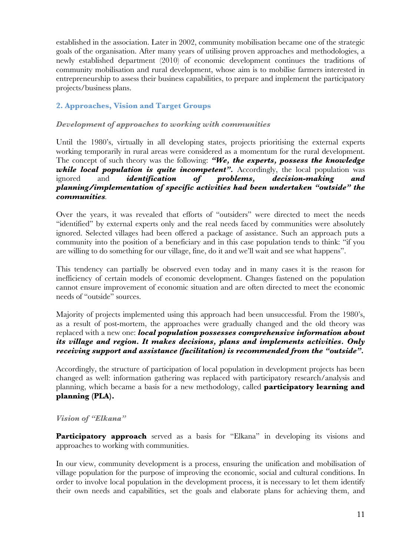established in the association. Later in 2002, community mobilisation became one of the strategic goals of the organisation. After many years of utilising proven approaches and methodologies, a newly established department (2010) of economic development continues the traditions of community mobilisation and rural development, whose aim is to mobilise farmers interested in entrepreneurship to assess their business capabilities, to prepare and implement the participatory projects/business plans.

# **2. Approaches, Vision and Target Groups**

#### *Development of approaches to working with communities*

Until the 1980's, virtually in all developing states, projects prioritising the external experts working temporarily in rural areas were considered as a momentum for the rural development. The concept of such theory was the following: *"We, the experts, possess the knowledge while local population is quite incompetent".* Accordingly, the local population was ignored and *identification of problems, decision-making and planning/implementation of specific activities had been undertaken "outside" the communities.* 

Over the years, it was revealed that efforts of "outsiders" were directed to meet the needs "identified" by external experts only and the real needs faced by communities were absolutely ignored. Selected villages had been offered a package of assistance. Such an approach puts a community into the position of a beneficiary and in this case population tends to think: "if you are willing to do something for our village, fine, do it and we'll wait and see what happens".

This tendency can partially be observed even today and in many cases it is the reason for inefficiency of certain models of economic development. Changes fastened on the population cannot ensure improvement of economic situation and are often directed to meet the economic needs of "outside" sources.

Majority of projects implemented using this approach had been unsuccessful. From the 1980's, as a result of post-mortem, the approaches were gradually changed and the old theory was replaced with a new one: *local population possesses comprehensive information about its village and region. It makes decisions, plans and implements activities. Only receiving support and assistance (facilitation) is recommended from the "outside".* 

Accordingly, the structure of participation of local population in development projects has been changed as well: information gathering was replaced with participatory research/analysis and planning, which became a basis for a new methodology, called **participatory learning and planning (PLA).** 

# *Vision of "Elkana"*

**Participatory approach** served as a basis for "Elkana" in developing its visions and approaches to working with communities.

In our view, community development is a process, ensuring the unification and mobilisation of village population for the purpose of improving the economic, social and cultural conditions. In order to involve local population in the development process, it is necessary to let them identify their own needs and capabilities, set the goals and elaborate plans for achieving them, and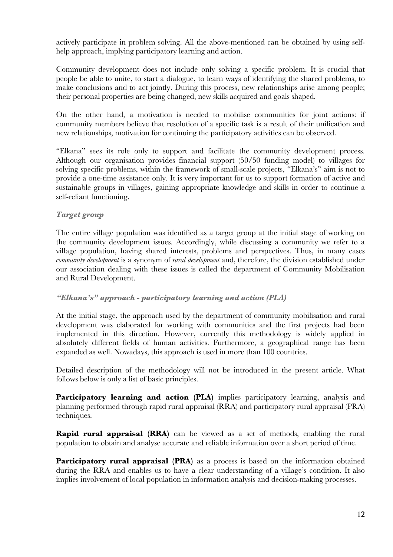actively participate in problem solving. All the above-mentioned can be obtained by using selfhelp approach, implying participatory learning and action.

Community development does not include only solving a specific problem. It is crucial that people be able to unite, to start a dialogue, to learn ways of identifying the shared problems, to make conclusions and to act jointly. During this process, new relationships arise among people; their personal properties are being changed, new skills acquired and goals shaped.

On the other hand, a motivation is needed to mobilise communities for joint actions: if community members believe that resolution of a specific task is a result of their unification and new relationships, motivation for continuing the participatory activities can be observed.

"Elkana" sees its role only to support and facilitate the community development process. Although our organisation provides financial support (50/50 funding model) to villages for solving specific problems, within the framework of small-scale projects, "Elkana's" aim is not to provide a one-time assistance only. It is very important for us to support formation of active and sustainable groups in villages, gaining appropriate knowledge and skills in order to continue a self-reliant functioning.

# *Target group*

The entire village population was identified as a target group at the initial stage of working on the community development issues. Accordingly, while discussing a community we refer to a village population, having shared interests, problems and perspectives. Thus, in many cases *community development* is a synonym of *rural development* and, therefore, the division established under our association dealing with these issues is called the department of Community Mobilisation and Rural Development.

#### *"Elkana's" approach - participatory learning and action (PLA)*

At the initial stage, the approach used by the department of community mobilisation and rural development was elaborated for working with communities and the first projects had been implemented in this direction. However, currently this methodology is widely applied in absolutely different fields of human activities. Furthermore, a geographical range has been expanded as well. Nowadays, this approach is used in more than 100 countries.

Detailed description of the methodology will not be introduced in the present article. What follows below is only a list of basic principles.

**Participatory learning and action (PLA)** implies participatory learning, analysis and planning performed through rapid rural appraisal (RRA) and participatory rural appraisal (PRA) techniques.

**Rapid rural appraisal (RRA)** can be viewed as a set of methods, enabling the rural population to obtain and analyse accurate and reliable information over a short period of time.

**Participatory rural appraisal (PRA)** as a process is based on the information obtained during the RRA and enables us to have a clear understanding of a village's condition. It also implies involvement of local population in information analysis and decision-making processes.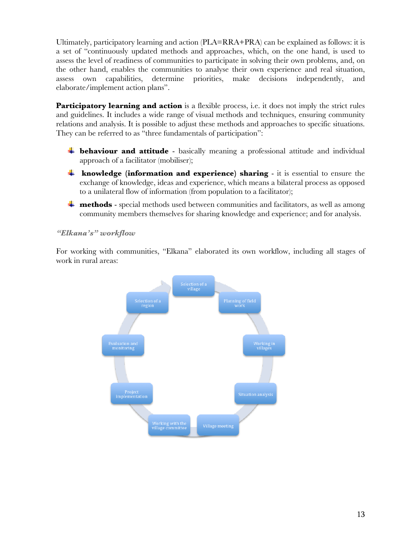Ultimately, participatory learning and action (PLA=RRA+PRA) can be explained as follows: it is a set of "continuously updated methods and approaches, which, on the one hand, is used to assess the level of readiness of communities to participate in solving their own problems, and, on the other hand, enables the communities to analyse their own experience and real situation, assess own capabilities, determine priorities, make decisions independently, and elaborate/implement action plans".

**Participatory learning and action** is a flexible process, i.e. it does not imply the strict rules and guidelines. It includes a wide range of visual methods and techniques, ensuring community relations and analysis. It is possible to adjust these methods and approaches to specific situations. They can be referred to as "three fundamentals of participation":

- **behaviour and attitude** basically meaning a professional attitude and individual approach of a facilitator (mobiliser);
- **knowledge (information and experience) sharing**  it is essential to ensure the exchange of knowledge, ideas and experience, which means a bilateral process as opposed to a unilateral flow of information (from population to a facilitator);
- **methods** special methods used between communities and facilitators, as well as among community members themselves for sharing knowledge and experience; and for analysis.

# *"Elkana's" workflow*

For working with communities, "Elkana" elaborated its own workflow, including all stages of work in rural areas:

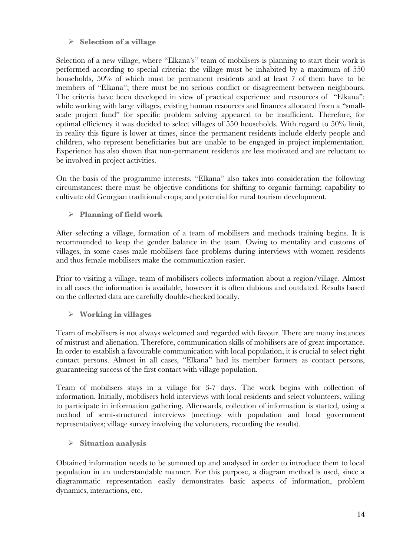# **Selection of a village**

Selection of a new village, where "Elkana's" team of mobilisers is planning to start their work is performed according to special criteria: the village must be inhabited by a maximum of 550 households, 50% of which must be permanent residents and at least 7 of them have to be members of "Elkana"; there must be no serious conflict or disagreement between neighbours. The criteria have been developed in view of practical experience and resources of "Elkana": while working with large villages, existing human resources and finances allocated from a "smallscale project fund" for specific problem solving appeared to be insufficient. Therefore, for optimal efficiency it was decided to select villages of 550 households. With regard to 50% limit, in reality this figure is lower at times, since the permanent residents include elderly people and children, who represent beneficiaries but are unable to be engaged in project implementation. Experience has also shown that non-permanent residents are less motivated and are reluctant to be involved in project activities.

On the basis of the programme interests, "Elkana" also takes into consideration the following circumstances: there must be objective conditions for shifting to organic farming; capability to cultivate old Georgian traditional crops; and potential for rural tourism development.

**Planning of field work**

After selecting a village, formation of a team of mobilisers and methods training begins. It is recommended to keep the gender balance in the team. Owing to mentality and customs of villages, in some cases male mobilisers face problems during interviews with women residents and thus female mobilisers make the communication easier.

Prior to visiting a village, team of mobilisers collects information about a region/village. Almost in all cases the information is available, however it is often dubious and outdated. Results based on the collected data are carefully double-checked locally.

# **Working in villages**

Team of mobilisers is not always welcomed and regarded with favour. There are many instances of mistrust and alienation. Therefore, communication skills of mobilisers are of great importance. In order to establish a favourable communication with local population, it is crucial to select right contact persons. Almost in all cases, "Elkana" had its member farmers as contact persons, guaranteeing success of the first contact with village population.

Team of mobilisers stays in a village for 3-7 days. The work begins with collection of information. Initially, mobilisers hold interviews with local residents and select volunteers, willing to participate in information gathering. Afterwards, collection of information is started, using a method of semi-structured interviews (meetings with population and local government representatives; village survey involving the volunteers, recording the results).

# **Situation analysis**

Obtained information needs to be summed up and analysed in order to introduce them to local population in an understandable manner. For this purpose, a diagram method is used, since a diagrammatic representation easily demonstrates basic aspects of information, problem dynamics, interactions, etc.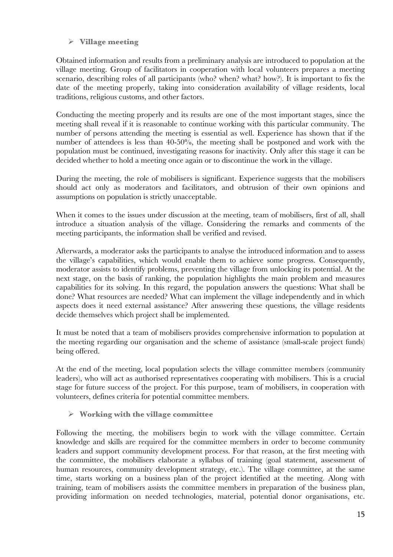# **Village meeting**

Obtained information and results from a preliminary analysis are introduced to population at the village meeting. Group of facilitators in cooperation with local volunteers prepares a meeting scenario, describing roles of all participants (who? when? what? how?). It is important to fix the date of the meeting properly, taking into consideration availability of village residents, local traditions, religious customs, and other factors.

Conducting the meeting properly and its results are one of the most important stages, since the meeting shall reveal if it is reasonable to continue working with this particular community. The number of persons attending the meeting is essential as well. Experience has shown that if the number of attendees is less than 40-50%, the meeting shall be postponed and work with the population must be continued, investigating reasons for inactivity. Only after this stage it can be decided whether to hold a meeting once again or to discontinue the work in the village.

During the meeting, the role of mobilisers is significant. Experience suggests that the mobilisers should act only as moderators and facilitators, and obtrusion of their own opinions and assumptions on population is strictly unacceptable.

When it comes to the issues under discussion at the meeting, team of mobilisers, first of all, shall introduce a situation analysis of the village. Considering the remarks and comments of the meeting participants, the information shall be verified and revised.

Afterwards, a moderator asks the participants to analyse the introduced information and to assess the village's capabilities, which would enable them to achieve some progress. Consequently, moderator assists to identify problems, preventing the village from unlocking its potential. At the next stage, on the basis of ranking, the population highlights the main problem and measures capabilities for its solving. In this regard, the population answers the questions: What shall be done? What resources are needed? What can implement the village independently and in which aspects does it need external assistance? After answering these questions, the village residents decide themselves which project shall be implemented.

It must be noted that a team of mobilisers provides comprehensive information to population at the meeting regarding our organisation and the scheme of assistance (small-scale project funds) being offered.

At the end of the meeting, local population selects the village committee members (community leaders), who will act as authorised representatives cooperating with mobilisers. This is a crucial stage for future success of the project. For this purpose, team of mobilisers, in cooperation with volunteers, defines criteria for potential committee members.

# **Working with the village committee**

Following the meeting, the mobilisers begin to work with the village committee. Certain knowledge and skills are required for the committee members in order to become community leaders and support community development process. For that reason, at the first meeting with the committee, the mobilisers elaborate a syllabus of training (goal statement, assessment of human resources, community development strategy, etc.). The village committee, at the same time, starts working on a business plan of the project identified at the meeting. Along with training, team of mobilisers assists the committee members in preparation of the business plan, providing information on needed technologies, material, potential donor organisations, etc.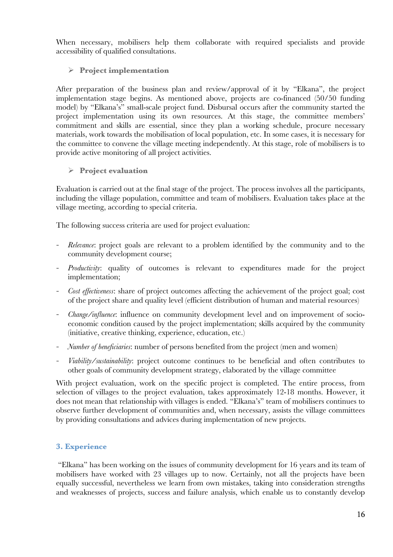When necessary, mobilisers help them collaborate with required specialists and provide accessibility of qualified consultations.

# **Project implementation**

After preparation of the business plan and review/approval of it by "Elkana", the project implementation stage begins. As mentioned above, projects are co-financed (50/50 funding model) by "Elkana's" small-scale project fund. Disbursal occurs after the community started the project implementation using its own resources. At this stage, the committee members' commitment and skills are essential, since they plan a working schedule, procure necessary materials, work towards the mobilisation of local population, etc. In some cases, it is necessary for the committee to convene the village meeting independently. At this stage, role of mobilisers is to provide active monitoring of all project activities.

# **Project evaluation**

Evaluation is carried out at the final stage of the project. The process involves all the participants, including the village population, committee and team of mobilisers. Evaluation takes place at the village meeting, according to special criteria.

The following success criteria are used for project evaluation:

- *Relevance*: project goals are relevant to a problem identified by the community and to the community development course;
- *Productivity*: quality of outcomes is relevant to expenditures made for the project implementation;
- *Cost effectiveness*: share of project outcomes affecting the achievement of the project goal; cost of the project share and quality level (efficient distribution of human and material resources)
- *Change/influence*: influence on community development level and on improvement of socioeconomic condition caused by the project implementation; skills acquired by the community (initiative, creative thinking, experience, education, etc.)
- *Number of beneficiaries*: number of persons benefited from the project (men and women)
- *Viability/sustainability*: project outcome continues to be beneficial and often contributes to other goals of community development strategy, elaborated by the village committee

With project evaluation, work on the specific project is completed. The entire process, from selection of villages to the project evaluation, takes approximately 12-18 months. However, it does not mean that relationship with villages is ended. "Elkana's" team of mobilisers continues to observe further development of communities and, when necessary, assists the village committees by providing consultations and advices during implementation of new projects.

# **3. Experience**

 "Elkana" has been working on the issues of community development for 16 years and its team of mobilisers have worked with 23 villages up to now. Certainly, not all the projects have been equally successful, nevertheless we learn from own mistakes, taking into consideration strengths and weaknesses of projects, success and failure analysis, which enable us to constantly develop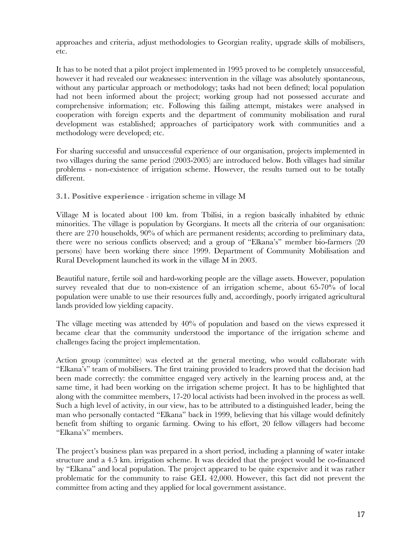approaches and criteria, adjust methodologies to Georgian reality, upgrade skills of mobilisers, etc.

It has to be noted that a pilot project implemented in 1995 proved to be completely unsuccessful, however it had revealed our weaknesses: intervention in the village was absolutely spontaneous, without any particular approach or methodology; tasks had not been defined; local population had not been informed about the project; working group had not possessed accurate and comprehensive information; etc. Following this failing attempt, mistakes were analysed in cooperation with foreign experts and the department of community mobilisation and rural development was established; approaches of participatory work with communities and a methodology were developed; etc.

For sharing successful and unsuccessful experience of our organisation, projects implemented in two villages during the same period (2003-2005) are introduced below. Both villages had similar problems - non-existence of irrigation scheme. However, the results turned out to be totally different.

**3.1. Positive experience** - irrigation scheme in village M

Village M is located about 100 km. from Tbilisi, in a region basically inhabited by ethnic minorities. The village is population by Georgians. It meets all the criteria of our organisation: there are 270 households, 90% of which are permanent residents; according to preliminary data, there were no serious conflicts observed; and a group of "Elkana's" member bio-farmers (20 persons) have been working there since 1999. Department of Community Mobilisation and Rural Development launched its work in the village M in 2003.

Beautiful nature, fertile soil and hard-working people are the village assets. However, population survey revealed that due to non-existence of an irrigation scheme, about 65-70% of local population were unable to use their resources fully and, accordingly, poorly irrigated agricultural lands provided low yielding capacity.

The village meeting was attended by 40% of population and based on the views expressed it became clear that the community understood the importance of the irrigation scheme and challenges facing the project implementation.

Action group (committee) was elected at the general meeting, who would collaborate with "Elkana's" team of mobilisers. The first training provided to leaders proved that the decision had been made correctly: the committee engaged very actively in the learning process and, at the same time, it had been working on the irrigation scheme project. It has to be highlighted that along with the committee members, 17-20 local activists had been involved in the process as well. Such a high level of activity, in our view, has to be attributed to a distinguished leader, being the man who personally contacted "Elkana" back in 1999, believing that his village would definitely benefit from shifting to organic farming. Owing to his effort, 20 fellow villagers had become "Elkana's" members.

The project's business plan was prepared in a short period, including a planning of water intake structure and a 4.5 km. irrigation scheme. It was decided that the project would be co-financed by "Elkana" and local population. The project appeared to be quite expensive and it was rather problematic for the community to raise GEL 42,000. However, this fact did not prevent the committee from acting and they applied for local government assistance.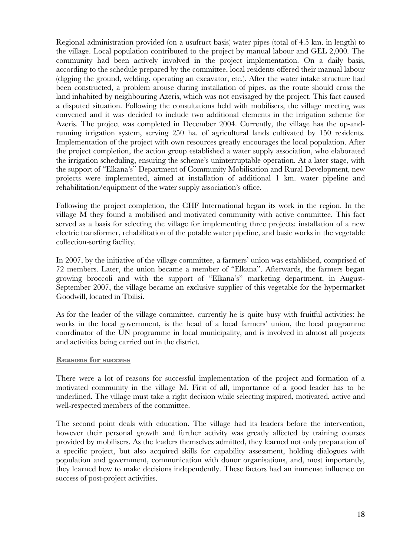Regional administration provided (on a usufruct basis) water pipes (total of 4.5 km. in length) to the village. Local population contributed to the project by manual labour and GEL 2,000. The community had been actively involved in the project implementation. On a daily basis, according to the schedule prepared by the committee, local residents offered their manual labour (digging the ground, welding, operating an excavator, etc.). After the water intake structure had been constructed, a problem arouse during installation of pipes, as the route should cross the land inhabited by neighbouring Azeris, which was not envisaged by the project. This fact caused a disputed situation. Following the consultations held with mobilisers, the village meeting was convened and it was decided to include two additional elements in the irrigation scheme for Azeris. The project was completed in December 2004. Currently, the village has the up-andrunning irrigation system, serving 250 ha. of agricultural lands cultivated by 150 residents. Implementation of the project with own resources greatly encourages the local population. After the project completion, the action group established a water supply association, who elaborated the irrigation scheduling, ensuring the scheme's uninterruptable operation. At a later stage, with the support of "Elkana's" Department of Community Mobilisation and Rural Development, new projects were implemented, aimed at installation of additional 1 km. water pipeline and rehabilitation/equipment of the water supply association's office.

Following the project completion, the CHF International began its work in the region. In the village M they found a mobilised and motivated community with active committee. This fact served as a basis for selecting the village for implementing three projects: installation of a new electric transformer, rehabilitation of the potable water pipeline, and basic works in the vegetable collection-sorting facility.

In 2007, by the initiative of the village committee, a farmers' union was established, comprised of 72 members. Later, the union became a member of "Elkana". Afterwards, the farmers began growing broccoli and with the support of "Elkana's" marketing department, in August-September 2007, the village became an exclusive supplier of this vegetable for the hypermarket Goodwill, located in Tbilisi.

As for the leader of the village committee, currently he is quite busy with fruitful activities: he works in the local government, is the head of a local farmers' union, the local programme coordinator of the UN programme in local municipality, and is involved in almost all projects and activities being carried out in the district.

#### **Reasons for success**

There were a lot of reasons for successful implementation of the project and formation of a motivated community in the village M. First of all, importance of a good leader has to be underlined. The village must take a right decision while selecting inspired, motivated, active and well-respected members of the committee.

The second point deals with education. The village had its leaders before the intervention, however their personal growth and further activity was greatly affected by training courses provided by mobilisers. As the leaders themselves admitted, they learned not only preparation of a specific project, but also acquired skills for capability assessment, holding dialogues with population and government, communication with donor organisations, and, most importantly, they learned how to make decisions independently. These factors had an immense influence on success of post-project activities.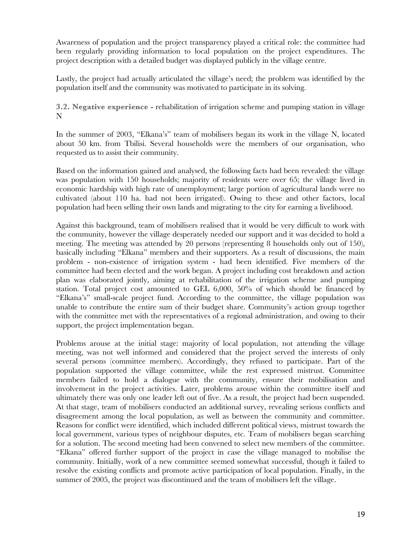Awareness of population and the project transparency played a critical role: the committee had been regularly providing information to local population on the project expenditures. The project description with a detailed budget was displayed publicly in the village centre.

Lastly, the project had actually articulated the village's need; the problem was identified by the population itself and the community was motivated to participate in its solving.

**3.2. Negative experience -** rehabilitation of irrigation scheme and pumping station in village N

In the summer of 2003, "Elkana's" team of mobilisers began its work in the village N, located about 50 km. from Tbilisi. Several households were the members of our organisation, who requested us to assist their community.

Based on the information gained and analysed, the following facts had been revealed: the village was population with 150 households; majority of residents were over 65; the village lived in economic hardship with high rate of unemployment; large portion of agricultural lands were no cultivated (about 110 ha. had not been irrigated). Owing to these and other factors, local population had been selling their own lands and migrating to the city for earning a livelihood.

Against this background, team of mobilisers realised that it would be very difficult to work with the community, however the village desperately needed our support and it was decided to hold a meeting. The meeting was attended by 20 persons (representing 8 households only out of 150), basically including "Elkana" members and their supporters. As a result of discussions, the main problem - non-existence of irrigation system - had been identified. Five members of the committee had been elected and the work began. A project including cost breakdown and action plan was elaborated jointly, aiming at rehabilitation of the irrigation scheme and pumping station. Total project cost amounted to GEL 6,000, 50% of which should be financed by "Elkana's" small-scale project fund. According to the committee, the village population was unable to contribute the entire sum of their budget share. Community's action group together with the committee met with the representatives of a regional administration, and owing to their support, the project implementation began.

Problems arouse at the initial stage: majority of local population, not attending the village meeting, was not well informed and considered that the project served the interests of only several persons (committee members). Accordingly, they refused to participate. Part of the population supported the village committee, while the rest expressed mistrust. Committee members failed to hold a dialogue with the community, ensure their mobilisation and involvement in the project activities. Later, problems arouse within the committee itself and ultimately there was only one leader left out of five. As a result, the project had been suspended. At that stage, team of mobilisers conducted an additional survey, revealing serious conflicts and disagreement among the local population, as well as between the community and committee. Reasons for conflict were identified, which included different political views, mistrust towards the local government, various types of neighbour disputes, etc. Team of mobilisers began searching for a solution. The second meeting had been convened to select new members of the committee. "Elkana" offered further support of the project in case the village managed to mobilise the community. Initially, work of a new committee seemed somewhat successful, though it failed to resolve the existing conflicts and promote active participation of local population. Finally, in the summer of 2005, the project was discontinued and the team of mobilisers left the village.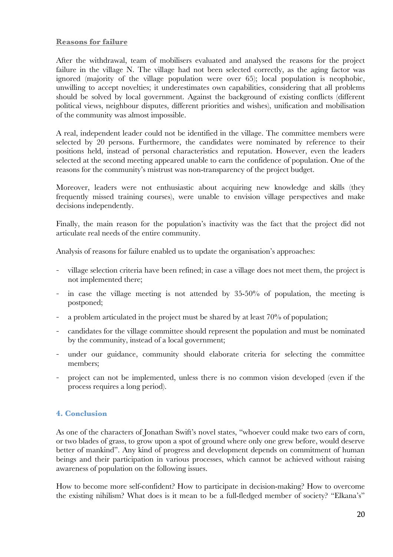#### **Reasons for failure**

After the withdrawal, team of mobilisers evaluated and analysed the reasons for the project failure in the village N. The village had not been selected correctly, as the aging factor was ignored (majority of the village population were over 65); local population is neophobic, unwilling to accept novelties; it underestimates own capabilities, considering that all problems should be solved by local government. Against the background of existing conflicts (different political views, neighbour disputes, different priorities and wishes), unification and mobilisation of the community was almost impossible.

A real, independent leader could not be identified in the village. The committee members were selected by 20 persons. Furthermore, the candidates were nominated by reference to their positions held, instead of personal characteristics and reputation. However, even the leaders selected at the second meeting appeared unable to earn the confidence of population. One of the reasons for the community's mistrust was non-transparency of the project budget.

Moreover, leaders were not enthusiastic about acquiring new knowledge and skills (they frequently missed training courses), were unable to envision village perspectives and make decisions independently.

Finally, the main reason for the population's inactivity was the fact that the project did not articulate real needs of the entire community.

Analysis of reasons for failure enabled us to update the organisation's approaches:

- village selection criteria have been refined; in case a village does not meet them, the project is not implemented there;
- in case the village meeting is not attended by 35-50% of population, the meeting is postponed;
- a problem articulated in the project must be shared by at least 70% of population;
- candidates for the village committee should represent the population and must be nominated by the community, instead of a local government;
- under our guidance, community should elaborate criteria for selecting the committee members;
- project can not be implemented, unless there is no common vision developed (even if the process requires a long period).

# **4. Conclusion**

As one of the characters of Jonathan Swift's novel states, "whoever could make two ears of corn, or two blades of grass, to grow upon a spot of ground where only one grew before, would deserve better of mankind". Any kind of progress and development depends on commitment of human beings and their participation in various processes, which cannot be achieved without raising awareness of population on the following issues.

How to become more self-confident? How to participate in decision-making? How to overcome the existing nihilism? What does is it mean to be a full-fledged member of society? "Elkana's"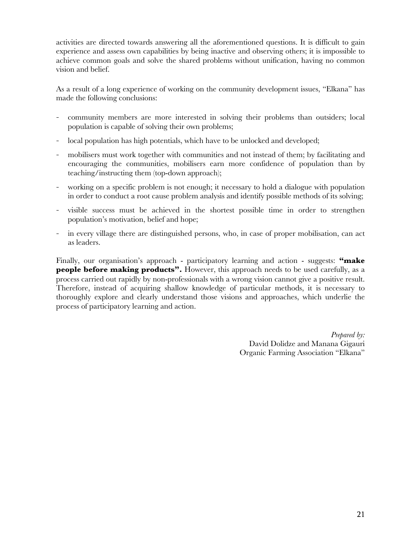activities are directed towards answering all the aforementioned questions. It is difficult to gain experience and assess own capabilities by being inactive and observing others; it is impossible to achieve common goals and solve the shared problems without unification, having no common vision and belief.

As a result of a long experience of working on the community development issues, "Elkana" has made the following conclusions:

- community members are more interested in solving their problems than outsiders; local population is capable of solving their own problems;
- local population has high potentials, which have to be unlocked and developed;
- mobilisers must work together with communities and not instead of them; by facilitating and encouraging the communities, mobilisers earn more confidence of population than by teaching/instructing them (top-down approach);
- working on a specific problem is not enough; it necessary to hold a dialogue with population in order to conduct a root cause problem analysis and identify possible methods of its solving;
- visible success must be achieved in the shortest possible time in order to strengthen population's motivation, belief and hope;
- in every village there are distinguished persons, who, in case of proper mobilisation, can act as leaders.

Finally, our organisation's approach - participatory learning and action - suggests: **"make people before making products".** However, this approach needs to be used carefully, as a process carried out rapidly by non-professionals with a wrong vision cannot give a positive result. Therefore, instead of acquiring shallow knowledge of particular methods, it is necessary to thoroughly explore and clearly understand those visions and approaches, which underlie the process of participatory learning and action.

> *Prepared by:* David Dolidze and Manana Gigauri Organic Farming Association "Elkana"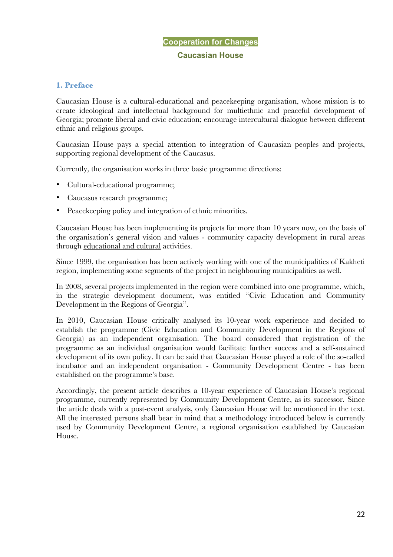# **Cooperation for Changes Caucasian House**

# **1. Preface**

Caucasian House is a cultural-educational and peacekeeping organisation, whose mission is to create ideological and intellectual background for multiethnic and peaceful development of Georgia; promote liberal and civic education; encourage intercultural dialogue between different ethnic and religious groups.

Caucasian House pays a special attention to integration of Caucasian peoples and projects, supporting regional development of the Caucasus.

Currently, the organisation works in three basic programme directions:

- Cultural-educational programme;
- Caucasus research programme;
- Peace keeping policy and integration of ethnic minorities.

Caucasian House has been implementing its projects for more than 10 years now, on the basis of the organisation's general vision and values - community capacity development in rural areas through educational and cultural activities.

Since 1999, the organisation has been actively working with one of the municipalities of Kakheti region, implementing some segments of the project in neighbouring municipalities as well.

In 2008, several projects implemented in the region were combined into one programme, which, in the strategic development document, was entitled "Civic Education and Community Development in the Regions of Georgia".

In 2010, Caucasian House critically analysed its 10-year work experience and decided to establish the programme (Civic Education and Community Development in the Regions of Georgia) as an independent organisation. The board considered that registration of the programme as an individual organisation would facilitate further success and a self-sustained development of its own policy. It can be said that Caucasian House played a role of the so-called incubator and an independent organisation - Community Development Centre - has been established on the programme's base.

Accordingly, the present article describes a 10-year experience of Caucasian House's regional programme, currently represented by Community Development Centre, as its successor. Since the article deals with a post-event analysis, only Caucasian House will be mentioned in the text. All the interested persons shall bear in mind that a methodology introduced below is currently used by Community Development Centre, a regional organisation established by Caucasian House.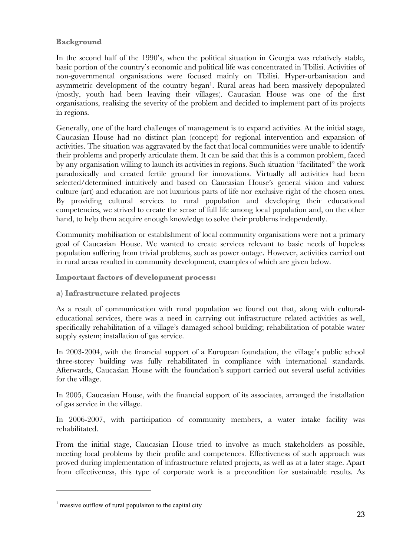# **Background**

In the second half of the 1990's, when the political situation in Georgia was relatively stable, basic portion of the country's economic and political life was concentrated in Tbilisi. Activities of non-governmental organisations were focused mainly on Tbilisi. Hyper-urbanisation and asymmetric development of the country began<sup>1</sup>. Rural areas had been massively depopulated (mostly, youth had been leaving their villages). Caucasian House was one of the first organisations, realising the severity of the problem and decided to implement part of its projects in regions.

Generally, one of the hard challenges of management is to expand activities. At the initial stage, Caucasian House had no distinct plan (concept) for regional intervention and expansion of activities. The situation was aggravated by the fact that local communities were unable to identify their problems and properly articulate them. It can be said that this is a common problem, faced by any organisation willing to launch its activities in regions. Such situation "facilitated" the work paradoxically and created fertile ground for innovations. Virtually all activities had been selected/determined intuitively and based on Caucasian House's general vision and values: culture (art) and education are not luxurious parts of life nor exclusive right of the chosen ones. By providing cultural services to rural population and developing their educational competencies, we strived to create the sense of full life among local population and, on the other hand, to help them acquire enough knowledge to solve their problems independently.

Community mobilisation or establishment of local community organisations were not a primary goal of Caucasian House. We wanted to create services relevant to basic needs of hopeless population suffering from trivial problems, such as power outage. However, activities carried out in rural areas resulted in community development, examples of which are given below.

**Important factors of development process:**

**a) Infrastructure related projects**

As a result of communication with rural population we found out that, along with culturaleducational services, there was a need in carrying out infrastructure related activities as well, specifically rehabilitation of a village's damaged school building; rehabilitation of potable water supply system; installation of gas service.

In 2003-2004, with the financial support of a European foundation, the village's public school three-storey building was fully rehabilitated in compliance with international standards. Afterwards, Caucasian House with the foundation's support carried out several useful activities for the village.

In 2005, Caucasian House, with the financial support of its associates, arranged the installation of gas service in the village.

In 2006-2007, with participation of community members, a water intake facility was rehabilitated.

From the initial stage, Caucasian House tried to involve as much stakeholders as possible, meeting local problems by their profile and competences. Effectiveness of such approach was proved during implementation of infrastructure related projects, as well as at a later stage. Apart from effectiveness, this type of corporate work is a precondition for sustainable results. As

 $\overline{a}$ 

 $<sup>1</sup>$  massive outflow of rural populaiton to the capital city</sup>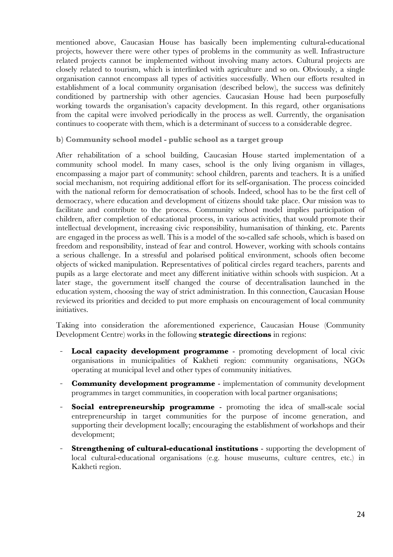mentioned above, Caucasian House has basically been implementing cultural-educational projects, however there were other types of problems in the community as well. Infrastructure related projects cannot be implemented without involving many actors. Cultural projects are closely related to tourism, which is interlinked with agriculture and so on. Obviously, a single organisation cannot encompass all types of activities successfully. When our efforts resulted in establishment of a local community organisation (described below), the success was definitely conditioned by partnership with other agencies. Caucasian House had been purposefully working towards the organisation's capacity development. In this regard, other organisations from the capital were involved periodically in the process as well. Currently, the organisation continues to cooperate with them, which is a determinant of success to a considerable degree.

#### **b) Community school model - public school as a target group**

After rehabilitation of a school building, Caucasian House started implementation of a community school model. In many cases, school is the only living organism in villages, encompassing a major part of community: school children, parents and teachers. It is a unified social mechanism, not requiring additional effort for its self-organisation. The process coincided with the national reform for democratisation of schools. Indeed, school has to be the first cell of democracy, where education and development of citizens should take place. Our mission was to facilitate and contribute to the process. Community school model implies participation of children, after completion of educational process, in various activities, that would promote their intellectual development, increasing civic responsibility, humanisation of thinking, etc. Parents are engaged in the process as well. This is a model of the so-called safe schools, which is based on freedom and responsibility, instead of fear and control. However, working with schools contains a serious challenge. In a stressful and polarised political environment, schools often become objects of wicked manipulation. Representatives of political circles regard teachers, parents and pupils as a large electorate and meet any different initiative within schools with suspicion. At a later stage, the government itself changed the course of decentralisation launched in the education system, choosing the way of strict administration. In this connection, Caucasian House reviewed its priorities and decided to put more emphasis on encouragement of local community initiatives.

Taking into consideration the aforementioned experience, Caucasian House (Community Development Centre) works in the following **strategic directions** in regions:

- **Local capacity development programme** promoting development of local civic organisations in municipalities of Kakheti region: community organisations, NGOs operating at municipal level and other types of community initiatives.
- **Community development programme** implementation of community development programmes in target communities, in cooperation with local partner organisations;
- **Social entrepreneurship programme** promoting the idea of small-scale social entrepreneurship in target communities for the purpose of income generation, and supporting their development locally; encouraging the establishment of workshops and their development;
- **Strengthening of cultural-educational institutions** supporting the development of local cultural-educational organisations (e.g. house museums, culture centres, etc.) in Kakheti region.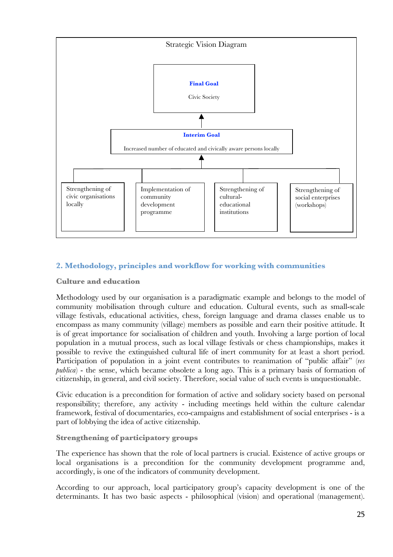

# **2. Methodology, principles and workflow for working with communities**

#### **Culture and education**

Methodology used by our organisation is a paradigmatic example and belongs to the model of community mobilisation through culture and education. Cultural events, such as small-scale village festivals, educational activities, chess, foreign language and drama classes enable us to encompass as many community (village) members as possible and earn their positive attitude. It is of great importance for socialisation of children and youth. Involving a large portion of local population in a mutual process, such as local village festivals or chess championships, makes it possible to revive the extinguished cultural life of inert community for at least a short period. Participation of population in a joint event contributes to reanimation of "public affair" (*res publica*) - the sense, which became obsolete a long ago. This is a primary basis of formation of citizenship, in general, and civil society. Therefore, social value of such events is unquestionable.

Civic education is a precondition for formation of active and solidary society based on personal responsibility; therefore, any activity - including meetings held within the culture calendar framework, festival of documentaries, eco-campaigns and establishment of social enterprises - is a part of lobbying the idea of active citizenship.

# **Strengthening of participatory groups**

The experience has shown that the role of local partners is crucial. Existence of active groups or local organisations is a precondition for the community development programme and, accordingly, is one of the indicators of community development.

According to our approach, local participatory group's capacity development is one of the determinants. It has two basic aspects - philosophical (vision) and operational (management).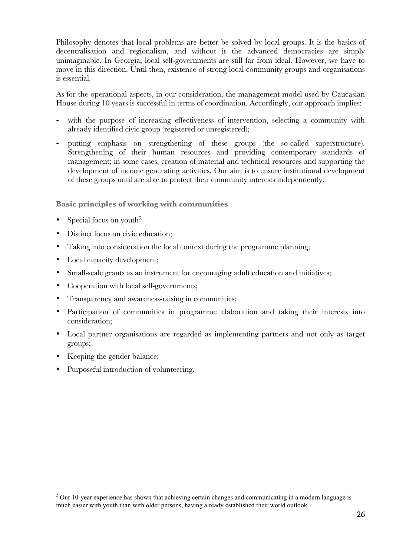Philosophy denotes that local problems are better be solved by local groups. It is the basics of decentralisation and regionalism, and without it the advanced democracies are simply unimaginable. In Georgia, local self-governments are still far from ideal. However, we have to move in this direction. Until then, existence of strong local community groups and organisations is essential.

As for the operational aspects, in our consideration, the management model used by Caucasian House during 10 years is successful in terms of coordination. Accordingly, our approach implies:

- with the purpose of increasing effectiveness of intervention, selecting a community with already identified civic group (registered or unregistered);
- putting emphasis on strengthening of these groups (the so-called superstructure). Strengthening of their human resources and providing contemporary standards of management; in some cases, creation of material and technical resources and supporting the development of income generating activities. Our aim is to ensure institutional development of these groups until are able to protect their community interests independently.

#### **Basic principles of working with communities**

- Special focus on youth<sup>2</sup>
- Distinct focus on civic education:
- Taking into consideration the local context during the programme planning;
- Local capacity development;
- Small-scale grants as an instrument for encouraging adult education and initiatives:
- Cooperation with local self-governments;
- Transparency and awareness-raising in communities;
- Participation of communities in programme elaboration and taking their interests into consideration;
- Local partner organisations are regarded as implementing partners and not only as target groups;
- Keeping the gender balance;

 $\overline{a}$ 

• Purposeful introduction of volunteering.

<sup>&</sup>lt;sup>2</sup> Our 10-year experience has shown that achieving certain changes and communicating in a modern language is much easier with youth than with older persons, having already established their world outlook.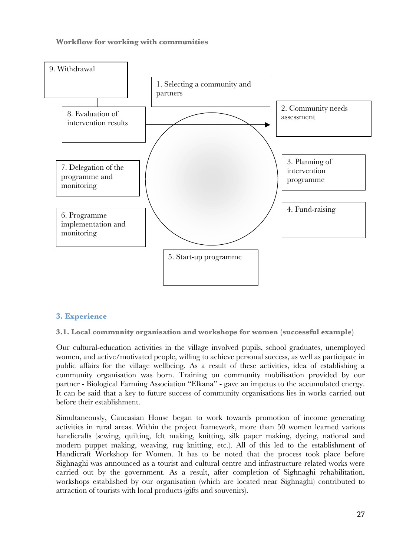# **Workflow for working with communities**



# **3. Experience**

**3.1. Local community organisation and workshops for women (successful example)**

Our cultural-education activities in the village involved pupils, school graduates, unemployed women, and active/motivated people, willing to achieve personal success, as well as participate in public affairs for the village wellbeing. As a result of these activities, idea of establishing a community organisation was born. Training on community mobilisation provided by our partner - Biological Farming Association "Elkana" - gave an impetus to the accumulated energy. It can be said that a key to future success of community organisations lies in works carried out before their establishment.

Simultaneously, Caucasian House began to work towards promotion of income generating activities in rural areas. Within the project framework, more than 50 women learned various handicrafts (sewing, quilting, felt making, knitting, silk paper making, dyeing, national and modern puppet making, weaving, rug knitting, etc.). All of this led to the establishment of Handicraft Workshop for Women. It has to be noted that the process took place before Sighnaghi was announced as a tourist and cultural centre and infrastructure related works were carried out by the government. As a result, after completion of Sighnaghi rehabilitation, workshops established by our organisation (which are located near Sighnaghi) contributed to attraction of tourists with local products (gifts and souvenirs).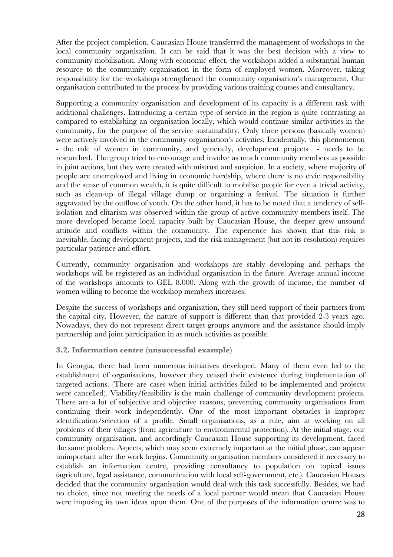After the project completion, Caucasian House transferred the management of workshops to the local community organisation. It can be said that it was the best decision with a view to community mobilisation. Along with economic effect, the workshops added a substantial human resource to the community organisation in the form of employed women. Moreover, taking responsibility for the workshops strengthened the community organisation's management. Our organisation contributed to the process by providing various training courses and consultancy.

Supporting a community organisation and development of its capacity is a different task with additional challenges. Introducing a certain type of service in the region is quite contrasting as compared to establishing an organisation locally, which would continue similar activities in the community, for the purpose of the service sustainability. Only three persons (basically women) were actively involved in the community organisation's activities. Incidentally, this phenomenon - the role of women in community, and generally, development projects - needs to be researched. The group tried to encourage and involve as much community members as possible in joint actions, but they were treated with mistrust and suspicion. In a society, where majority of people are unemployed and living in economic hardship, where there is no civic responsibility and the sense of common wealth, it is quite difficult to mobilise people for even a trivial activity, such as clean-up of illegal village dump or organising a festival. The situation is further aggravated by the outflow of youth. On the other hand, it has to be noted that a tendency of selfisolation and elitarism was observed within the group of active community members itself. The more developed became local capacity built by Caucasian House, the deeper grew unsound attitude and conflicts within the community. The experience has shown that this risk is inevitable, facing development projects, and the risk management (but not its resolution) requires particular patience and effort.

Currently, community organisation and workshops are stably developing and perhaps the workshops will be registered as an individual organisation in the future. Average annual income of the workshops amounts to GEL 8,000. Along with the growth of income, the number of women willing to become the workshop members increases.

Despite the success of workshops and organisation, they still need support of their partners from the capital city. However, the nature of support is different than that provided 2-3 years ago. Nowadays, they do not represent direct target groups anymore and the assistance should imply partnership and joint participation in as much activities as possible.

# **3.2. Information centre (unsuccessful example)**

In Georgia, there had been numerous initiatives developed. Many of them even led to the establishment of organisations, however they ceased their existence during implementation of targeted actions. (There are cases when initial activities failed to be implemented and projects were cancelled). Viability/feasibility is the main challenge of community development projects. There are a lot of subjective and objective reasons, preventing community organisations from continuing their work independently. One of the most important obstacles is improper identification/selection of a profile. Small organisations, as a rule, aim at working on all problems of their villages (from agriculture to environmental protection). At the initial stage, our community organisation, and accordingly Caucasian House supporting its development, faced the same problem. Aspects, which may seem extremely important at the initial phase, can appear unimportant after the work begins. Community organisation members considered it necessary to establish an information centre, providing consultancy to population on topical issues (agriculture, legal assistance, communication with local self-government, etc.). Caucasian Houses decided that the community organisation would deal with this task successfully. Besides, we had no choice, since not meeting the needs of a local partner would mean that Caucasian House were imposing its own ideas upon them. One of the purposes of the information centre was to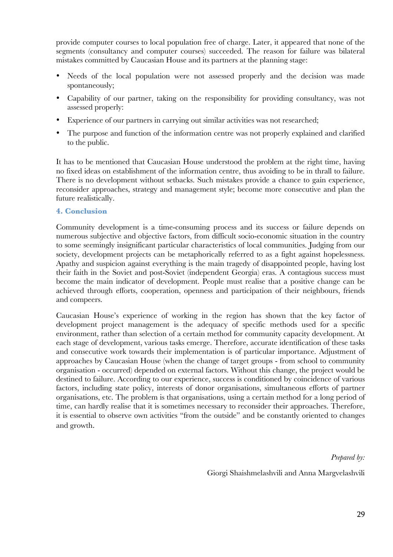provide computer courses to local population free of charge. Later, it appeared that none of the segments (consultancy and computer courses) succeeded. The reason for failure was bilateral mistakes committed by Caucasian House and its partners at the planning stage:

- Needs of the local population were not assessed properly and the decision was made spontaneously;
- Capability of our partner, taking on the responsibility for providing consultancy, was not assessed properly:
- Experience of our partners in carrying out similar activities was not researched;
- The purpose and function of the information centre was not properly explained and clarified to the public.

It has to be mentioned that Caucasian House understood the problem at the right time, having no fixed ideas on establishment of the information centre, thus avoiding to be in thrall to failure. There is no development without setbacks. Such mistakes provide a chance to gain experience, reconsider approaches, strategy and management style; become more consecutive and plan the future realistically.

#### **4. Conclusion**

Community development is a time-consuming process and its success or failure depends on numerous subjective and objective factors, from difficult socio-economic situation in the country to some seemingly insignificant particular characteristics of local communities. Judging from our society, development projects can be metaphorically referred to as a fight against hopelessness. Apathy and suspicion against everything is the main tragedy of disappointed people, having lost their faith in the Soviet and post-Soviet (independent Georgia) eras. A contagious success must become the main indicator of development. People must realise that a positive change can be achieved through efforts, cooperation, openness and participation of their neighbours, friends and compeers.

Caucasian House's experience of working in the region has shown that the key factor of development project management is the adequacy of specific methods used for a specific environment, rather than selection of a certain method for community capacity development. At each stage of development, various tasks emerge. Therefore, accurate identification of these tasks and consecutive work towards their implementation is of particular importance. Adjustment of approaches by Caucasian House (when the change of target groups - from school to community organisation - occurred) depended on external factors. Without this change, the project would be destined to failure. According to our experience, success is conditioned by coincidence of various factors, including state policy, interests of donor organisations, simultaneous efforts of partner organisations, etc. The problem is that organisations, using a certain method for a long period of time, can hardly realise that it is sometimes necessary to reconsider their approaches. Therefore, it is essential to observe own activities "from the outside" and be constantly oriented to changes and growth.

*Prepared by:*

Giorgi Shaishmelashvili and Anna Margvelashvili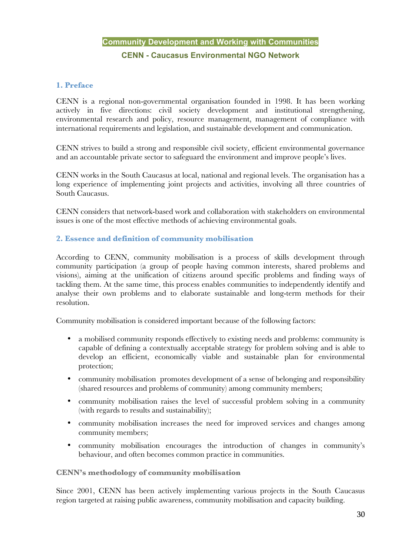# **Community Development and Working with Communities CENN - Caucasus Environmental NGO Network**

# **1. Preface**

CENN is a regional non-governmental organisation founded in 1998. It has been working actively in five directions: civil society development and institutional strengthening, environmental research and policy, resource management, management of compliance with international requirements and legislation, and sustainable development and communication.

CENN strives to build a strong and responsible civil society, efficient environmental governance and an accountable private sector to safeguard the environment and improve people's lives.

CENN works in the South Caucasus at local, national and regional levels. The organisation has a long experience of implementing joint projects and activities, involving all three countries of South Caucasus.

CENN considers that network-based work and collaboration with stakeholders on environmental issues is one of the most effective methods of achieving environmental goals.

# **2. Essence and definition of community mobilisation**

According to CENN, community mobilisation is a process of skills development through community participation (a group of people having common interests, shared problems and visions), aiming at the unification of citizens around specific problems and finding ways of tackling them. At the same time, this process enables communities to independently identify and analyse their own problems and to elaborate sustainable and long-term methods for their resolution.

Community mobilisation is considered important because of the following factors:

- a mobilised community responds effectively to existing needs and problems: community is capable of defining a contextually acceptable strategy for problem solving and is able to develop an efficient, economically viable and sustainable plan for environmental protection;
- community mobilisation promotes development of a sense of belonging and responsibility (shared resources and problems of community) among community members;
- community mobilisation raises the level of successful problem solving in a community (with regards to results and sustainability);
- community mobilisation increases the need for improved services and changes among community members;
- community mobilisation encourages the introduction of changes in community's behaviour, and often becomes common practice in communities.

#### **CENN's methodology of community mobilisation**

Since 2001, CENN has been actively implementing various projects in the South Caucasus region targeted at raising public awareness, community mobilisation and capacity building.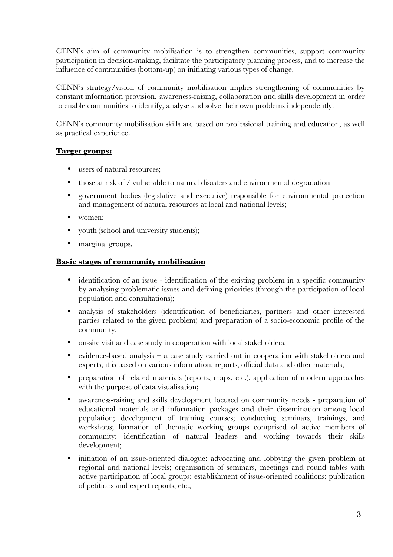CENN's aim of community mobilisation is to strengthen communities, support community participation in decision-making, facilitate the participatory planning process, and to increase the influence of communities (bottom-up) on initiating various types of change.

CENN's strategy/vision of community mobilisation implies strengthening of communities by constant information provision, awareness-raising, collaboration and skills development in order to enable communities to identify, analyse and solve their own problems independently.

CENN's community mobilisation skills are based on professional training and education, as well as practical experience.

# **Target groups:**

- users of natural resources:
- those at risk of / vulnerable to natural disasters and environmental degradation
- government bodies (legislative and executive) responsible for environmental protection and management of natural resources at local and national levels;
- women:
- youth (school and university students);
- marginal groups.

#### **Basic stages of community mobilisation**

- identification of an issue identification of the existing problem in a specific community by analysing problematic issues and defining priorities (through the participation of local population and consultations);
- analysis of stakeholders (identification of beneficiaries, partners and other interested parties related to the given problem) and preparation of a socio-economic profile of the community;
- on-site visit and case study in cooperation with local stakeholders;
- evidence-based analysis a case study carried out in cooperation with stakeholders and experts, it is based on various information, reports, official data and other materials;
- preparation of related materials (reports, maps, etc.), application of modern approaches with the purpose of data visualisation;
- awareness-raising and skills development focused on community needs preparation of educational materials and information packages and their dissemination among local population; development of training courses; conducting seminars, trainings, and workshops; formation of thematic working groups comprised of active members of community; identification of natural leaders and working towards their skills development;
- initiation of an issue-oriented dialogue: advocating and lobbying the given problem at regional and national levels; organisation of seminars, meetings and round tables with active participation of local groups; establishment of issue-oriented coalitions; publication of petitions and expert reports; etc.;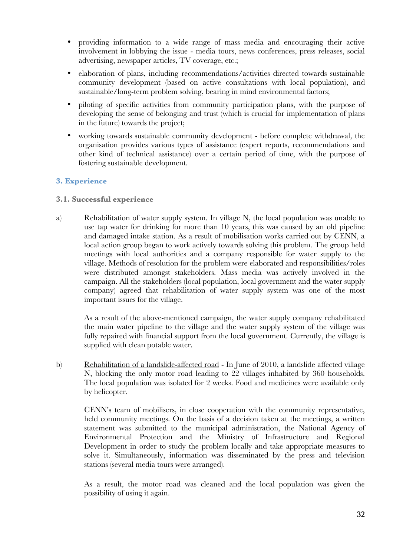- providing information to a wide range of mass media and encouraging their active involvement in lobbying the issue - media tours, news conferences, press releases, social advertising, newspaper articles, TV coverage, etc.;
- elaboration of plans, including recommendations/activities directed towards sustainable community development (based on active consultations with local population), and sustainable/long-term problem solving, bearing in mind environmental factors;
- piloting of specific activities from community participation plans, with the purpose of developing the sense of belonging and trust (which is crucial for implementation of plans in the future) towards the project;
- working towards sustainable community development before complete withdrawal, the organisation provides various types of assistance (expert reports, recommendations and other kind of technical assistance) over a certain period of time, with the purpose of fostering sustainable development.

# **3. Experience**

# **3.1. Successful experience**

a) Rehabilitation of water supply system. In village N, the local population was unable to use tap water for drinking for more than 10 years, this was caused by an old pipeline and damaged intake station. As a result of mobilisation works carried out by CENN, a local action group began to work actively towards solving this problem. The group held meetings with local authorities and a company responsible for water supply to the village. Methods of resolution for the problem were elaborated and responsibilities/roles were distributed amongst stakeholders. Mass media was actively involved in the campaign. All the stakeholders (local population, local government and the water supply company) agreed that rehabilitation of water supply system was one of the most important issues for the village.

As a result of the above-mentioned campaign, the water supply company rehabilitated the main water pipeline to the village and the water supply system of the village was fully repaired with financial support from the local government. Currently, the village is supplied with clean potable water.

b) Rehabilitation of a landslide-affected road - In June of 2010, a landslide affected village N, blocking the only motor road leading to 22 villages inhabited by 360 households. The local population was isolated for 2 weeks. Food and medicines were available only by helicopter.

CENN's team of mobilisers, in close cooperation with the community representative, held community meetings. On the basis of a decision taken at the meetings, a written statement was submitted to the municipal administration, the National Agency of Environmental Protection and the Ministry of Infrastructure and Regional Development in order to study the problem locally and take appropriate measures to solve it. Simultaneously, information was disseminated by the press and television stations (several media tours were arranged).

As a result, the motor road was cleaned and the local population was given the possibility of using it again.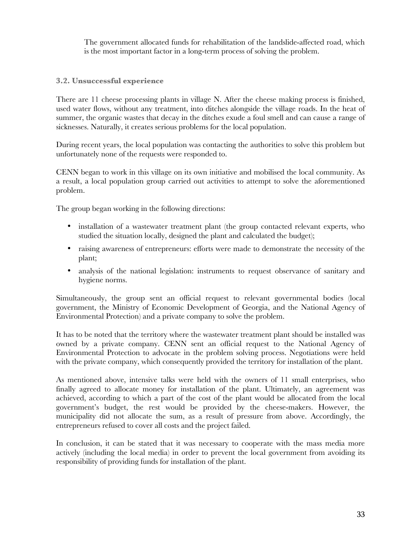The government allocated funds for rehabilitation of the landslide-affected road, which is the most important factor in a long-term process of solving the problem.

#### **3.2. Unsuccessful experience**

There are 11 cheese processing plants in village N. After the cheese making process is finished, used water flows, without any treatment, into ditches alongside the village roads. In the heat of summer, the organic wastes that decay in the ditches exude a foul smell and can cause a range of sicknesses. Naturally, it creates serious problems for the local population.

During recent years, the local population was contacting the authorities to solve this problem but unfortunately none of the requests were responded to.

CENN began to work in this village on its own initiative and mobilised the local community. As a result, a local population group carried out activities to attempt to solve the aforementioned problem.

The group began working in the following directions:

- installation of a wastewater treatment plant (the group contacted relevant experts, who studied the situation locally, designed the plant and calculated the budget);
- raising awareness of entrepreneurs: efforts were made to demonstrate the necessity of the plant;
- analysis of the national legislation: instruments to request observance of sanitary and hygiene norms.

Simultaneously, the group sent an official request to relevant governmental bodies (local government, the Ministry of Economic Development of Georgia, and the National Agency of Environmental Protection) and a private company to solve the problem.

It has to be noted that the territory where the wastewater treatment plant should be installed was owned by a private company. CENN sent an official request to the National Agency of Environmental Protection to advocate in the problem solving process. Negotiations were held with the private company, which consequently provided the territory for installation of the plant.

As mentioned above, intensive talks were held with the owners of 11 small enterprises, who finally agreed to allocate money for installation of the plant. Ultimately, an agreement was achieved, according to which a part of the cost of the plant would be allocated from the local government's budget, the rest would be provided by the cheese-makers. However, the municipality did not allocate the sum, as a result of pressure from above. Accordingly, the entrepreneurs refused to cover all costs and the project failed.

In conclusion, it can be stated that it was necessary to cooperate with the mass media more actively (including the local media) in order to prevent the local government from avoiding its responsibility of providing funds for installation of the plant.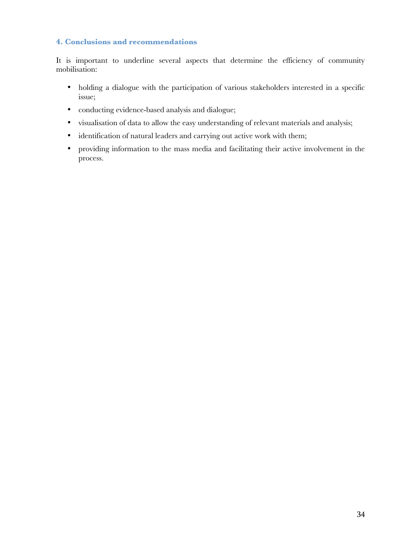# **4. Conclusions and recommendations**

It is important to underline several aspects that determine the efficiency of community mobilisation:

- holding a dialogue with the participation of various stakeholders interested in a specific issue;
- conducting evidence-based analysis and dialogue;
- visualisation of data to allow the easy understanding of relevant materials and analysis;
- identification of natural leaders and carrying out active work with them;
- providing information to the mass media and facilitating their active involvement in the process.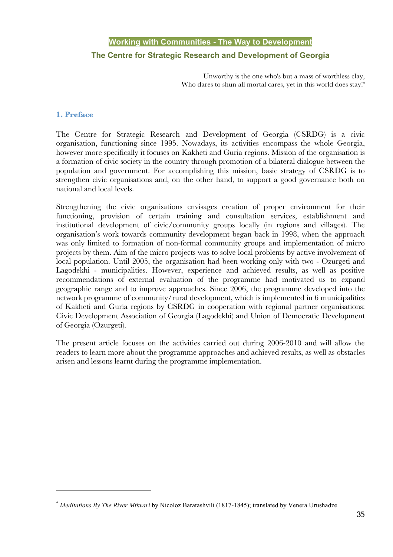# **Working with Communities - The Way to Development The Centre for Strategic Research and Development of Georgia**

Unworthy is the one who's but a mass of worthless clay, Who dares to shun all mortal cares, yet in this world does stay!\*

#### **1. Preface**

 $\overline{a}$ 

The Centre for Strategic Research and Development of Georgia (CSRDG) is a civic organisation, functioning since 1995. Nowadays, its activities encompass the whole Georgia, however more specifically it focuses on Kakheti and Guria regions. Mission of the organisation is a formation of civic society in the country through promotion of a bilateral dialogue between the population and government. For accomplishing this mission, basic strategy of CSRDG is to strengthen civic organisations and, on the other hand, to support a good governance both on national and local levels.

Strengthening the civic organisations envisages creation of proper environment for their functioning, provision of certain training and consultation services, establishment and institutional development of civic/community groups locally (in regions and villages). The organisation's work towards community development began back in 1998, when the approach was only limited to formation of non-formal community groups and implementation of micro projects by them. Aim of the micro projects was to solve local problems by active involvement of local population. Until 2005, the organisation had been working only with two - Ozurgeti and Lagodekhi - municipalities. However, experience and achieved results, as well as positive recommendations of external evaluation of the programme had motivated us to expand geographic range and to improve approaches. Since 2006, the programme developed into the network programme of community/rural development, which is implemented in 6 municipalities of Kakheti and Guria regions by CSRDG in cooperation with regional partner organisations: Civic Development Association of Georgia (Lagodekhi) and Union of Democratic Development of Georgia (Ozurgeti).

The present article focuses on the activities carried out during 2006-2010 and will allow the readers to learn more about the programme approaches and achieved results, as well as obstacles arisen and lessons learnt during the programme implementation.

<sup>\*</sup> *Meditations By The River Mtkvari* by Nicoloz Baratashvili (1817-1845); translated by Venera Urushadze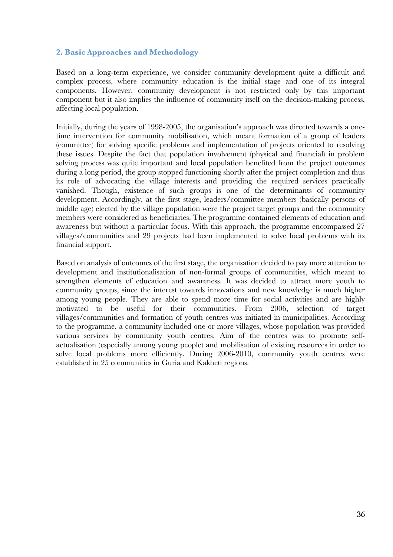## **2. Basic Approaches and Methodology**

Based on a long-term experience, we consider community development quite a difficult and complex process, where community education is the initial stage and one of its integral components. However, community development is not restricted only by this important component but it also implies the influence of community itself on the decision-making process, affecting local population.

Initially, during the years of 1998-2005, the organisation's approach was directed towards a onetime intervention for community mobilisation, which meant formation of a group of leaders (committee) for solving specific problems and implementation of projects oriented to resolving these issues. Despite the fact that population involvement (physical and financial) in problem solving process was quite important and local population benefited from the project outcomes during a long period, the group stopped functioning shortly after the project completion and thus its role of advocating the village interests and providing the required services practically vanished. Though, existence of such groups is one of the determinants of community development. Accordingly, at the first stage, leaders/committee members (basically persons of middle age) elected by the village population were the project target groups and the community members were considered as beneficiaries. The programme contained elements of education and awareness but without a particular focus. With this approach, the programme encompassed 27 villages/communities and 29 projects had been implemented to solve local problems with its financial support.

Based on analysis of outcomes of the first stage, the organisation decided to pay more attention to development and institutionalisation of non-formal groups of communities, which meant to strengthen elements of education and awareness. It was decided to attract more youth to community groups, since the interest towards innovations and new knowledge is much higher among young people. They are able to spend more time for social activities and are highly motivated to be useful for their communities. From 2006, selection of target villages/communities and formation of youth centres was initiated in municipalities. According to the programme, a community included one or more villages, whose population was provided various services by community youth centres. Aim of the centres was to promote selfactualisation (especially among young people) and mobilisation of existing resources in order to solve local problems more efficiently. During 2006-2010, community youth centres were established in 25 communities in Guria and Kakheti regions.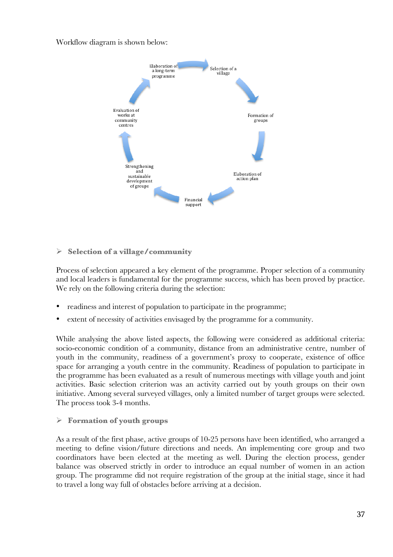Workflow diagram is shown below:



# **Selection of a village/community**

Process of selection appeared a key element of the programme. Proper selection of a community and local leaders is fundamental for the programme success, which has been proved by practice. We rely on the following criteria during the selection:

- readiness and interest of population to participate in the programme;
- extent of necessity of activities envisaged by the programme for a community.

While analysing the above listed aspects, the following were considered as additional criteria: socio-economic condition of a community, distance from an administrative centre, number of youth in the community, readiness of a government's proxy to cooperate, existence of office space for arranging a youth centre in the community. Readiness of population to participate in the programme has been evaluated as a result of numerous meetings with village youth and joint activities. Basic selection criterion was an activity carried out by youth groups on their own initiative. Among several surveyed villages, only a limited number of target groups were selected. The process took 3-4 months.

#### **Formation of youth groups**

As a result of the first phase, active groups of 10-25 persons have been identified, who arranged a meeting to define vision/future directions and needs. An implementing core group and two coordinators have been elected at the meeting as well. During the election process, gender balance was observed strictly in order to introduce an equal number of women in an action group. The programme did not require registration of the group at the initial stage, since it had to travel a long way full of obstacles before arriving at a decision.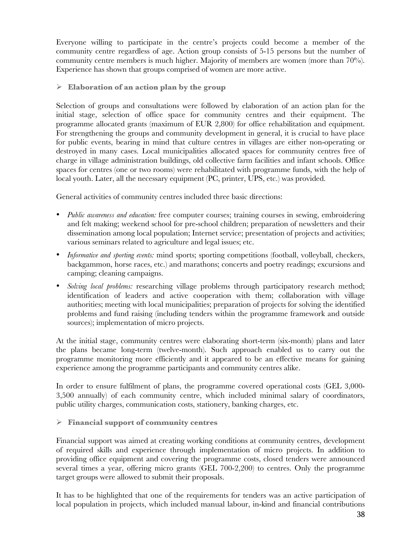Everyone willing to participate in the centre's projects could become a member of the community centre regardless of age. Action group consists of 5-15 persons but the number of community centre members is much higher. Majority of members are women (more than 70%). Experience has shown that groups comprised of women are more active.

**Elaboration of an action plan by the group**

Selection of groups and consultations were followed by elaboration of an action plan for the initial stage, selection of office space for community centres and their equipment. The programme allocated grants (maximum of EUR 2,800) for office rehabilitation and equipment. For strengthening the groups and community development in general, it is crucial to have place for public events, bearing in mind that culture centres in villages are either non-operating or destroyed in many cases. Local municipalities allocated spaces for community centres free of charge in village administration buildings, old collective farm facilities and infant schools. Office spaces for centres (one or two rooms) were rehabilitated with programme funds, with the help of local youth. Later, all the necessary equipment (PC, printer, UPS, etc.) was provided.

General activities of community centres included three basic directions:

- *Public awareness and education:* free computer courses; training courses in sewing, embroidering and felt making; weekend school for pre-school children; preparation of newsletters and their dissemination among local population; Internet service; presentation of projects and activities; various seminars related to agriculture and legal issues; etc.
- *Informative and sporting events:* mind sports; sporting competitions (football, volleyball, checkers, backgammon, horse races, etc.) and marathons; concerts and poetry readings; excursions and camping; cleaning campaigns.
- *Solving local problems:* researching village problems through participatory research method; identification of leaders and active cooperation with them; collaboration with village authorities; meeting with local municipalities; preparation of projects for solving the identified problems and fund raising (including tenders within the programme framework and outside sources); implementation of micro projects.

At the initial stage, community centres were elaborating short-term (six-month) plans and later the plans became long-term (twelve-month). Such approach enabled us to carry out the programme monitoring more efficiently and it appeared to be an effective means for gaining experience among the programme participants and community centres alike.

In order to ensure fulfilment of plans, the programme covered operational costs (GEL 3,000- 3,500 annually) of each community centre, which included minimal salary of coordinators, public utility charges, communication costs, stationery, banking charges, etc.

# **Financial support of community centres**

Financial support was aimed at creating working conditions at community centres, development of required skills and experience through implementation of micro projects. In addition to providing office equipment and covering the programme costs, closed tenders were announced several times a year, offering micro grants (GEL 700-2,200) to centres. Only the programme target groups were allowed to submit their proposals.

It has to be highlighted that one of the requirements for tenders was an active participation of local population in projects, which included manual labour, in-kind and financial contributions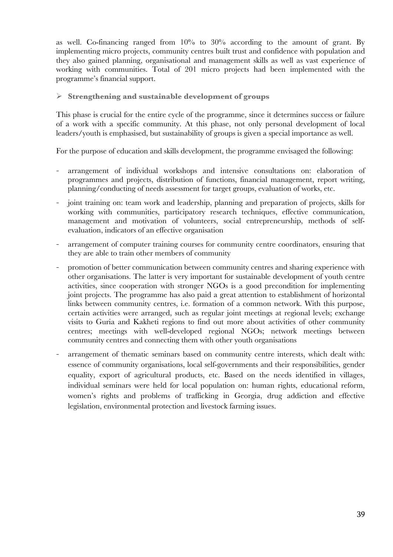as well. Co-financing ranged from  $10\%$  to  $30\%$  according to the amount of grant. By implementing micro projects, community centres built trust and confidence with population and they also gained planning, organisational and management skills as well as vast experience of working with communities. Total of 201 micro projects had been implemented with the programme's financial support.

#### **Strengthening and sustainable development of groups**

This phase is crucial for the entire cycle of the programme, since it determines success or failure of a work with a specific community. At this phase, not only personal development of local leaders/youth is emphasised, but sustainability of groups is given a special importance as well.

For the purpose of education and skills development, the programme envisaged the following:

- arrangement of individual workshops and intensive consultations on: elaboration of programmes and projects, distribution of functions, financial management, report writing, planning/conducting of needs assessment for target groups, evaluation of works, etc.
- joint training on: team work and leadership, planning and preparation of projects, skills for working with communities, participatory research techniques, effective communication, management and motivation of volunteers, social entrepreneurship, methods of selfevaluation, indicators of an effective organisation
- arrangement of computer training courses for community centre coordinators, ensuring that they are able to train other members of community
- promotion of better communication between community centres and sharing experience with other organisations. The latter is very important for sustainable development of youth centre activities, since cooperation with stronger NGOs is a good precondition for implementing joint projects. The programme has also paid a great attention to establishment of horizontal links between community centres, i.e. formation of a common network. With this purpose, certain activities were arranged, such as regular joint meetings at regional levels; exchange visits to Guria and Kakheti regions to find out more about activities of other community centres; meetings with well-developed regional NGOs; network meetings between community centres and connecting them with other youth organisations
- arrangement of thematic seminars based on community centre interests, which dealt with: essence of community organisations, local self-governments and their responsibilities, gender equality, export of agricultural products, etc. Based on the needs identified in villages, individual seminars were held for local population on: human rights, educational reform, women's rights and problems of trafficking in Georgia, drug addiction and effective legislation, environmental protection and livestock farming issues.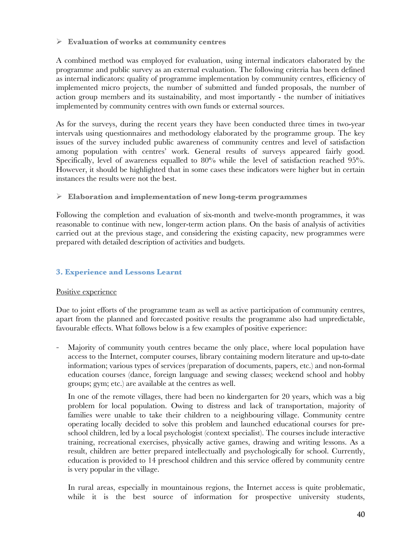**Evaluation of works at community centres**

A combined method was employed for evaluation, using internal indicators elaborated by the programme and public survey as an external evaluation. The following criteria has been defined as internal indicators: quality of programme implementation by community centres, efficiency of implemented micro projects, the number of submitted and funded proposals, the number of action group members and its sustainability, and most importantly - the number of initiatives implemented by community centres with own funds or external sources.

As for the surveys, during the recent years they have been conducted three times in two-year intervals using questionnaires and methodology elaborated by the programme group. The key issues of the survey included public awareness of community centres and level of satisfaction among population with centres' work. General results of surveys appeared fairly good. Specifically, level of awareness equalled to 80% while the level of satisfaction reached 95%. However, it should be highlighted that in some cases these indicators were higher but in certain instances the results were not the best.

# **Elaboration and implementation of new long-term programmes**

Following the completion and evaluation of six-month and twelve-month programmes, it was reasonable to continue with new, longer-term action plans. On the basis of analysis of activities carried out at the previous stage, and considering the existing capacity, new programmes were prepared with detailed description of activities and budgets.

# **3. Experience and Lessons Learnt**

# Positive experience

Due to joint efforts of the programme team as well as active participation of community centres, apart from the planned and forecasted positive results the programme also had unpredictable, favourable effects. What follows below is a few examples of positive experience:

Majority of community youth centres became the only place, where local population have access to the Internet, computer courses, library containing modern literature and up-to-date information; various types of services (preparation of documents, papers, etc.) and non-formal education courses (dance, foreign language and sewing classes; weekend school and hobby groups; gym; etc.) are available at the centres as well.

In one of the remote villages, there had been no kindergarten for 20 years, which was a big problem for local population. Owing to distress and lack of transportation, majority of families were unable to take their children to a neighbouring village. Community centre operating locally decided to solve this problem and launched educational courses for preschool children, led by a local psychologist (context specialist). The courses include interactive training, recreational exercises, physically active games, drawing and writing lessons. As a result, children are better prepared intellectually and psychologically for school. Currently, education is provided to 14 preschool children and this service offered by community centre is very popular in the village.

In rural areas, especially in mountainous regions, the Internet access is quite problematic, while it is the best source of information for prospective university students,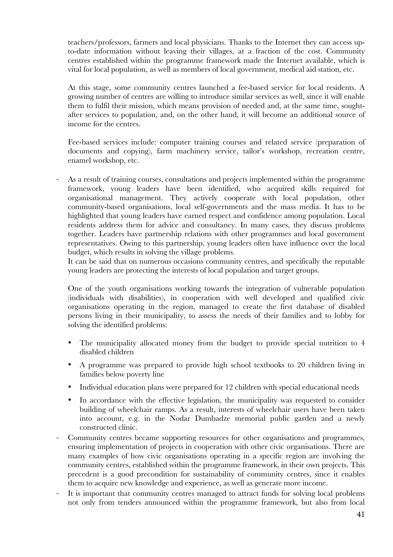teachers/professors, farmers and local physicians. Thanks to the Internet they can access upto-date information without leaving their villages, at a fraction of the cost. Community centres established within the programme framework made the Internet available, which is vital for local population, as well as members of local government, medical aid station, etc.

At this stage, some community centres launched a fee-based service for local residents. A growing number of centres are willing to introduce similar services as well, since it will enable them to fulfil their mission, which means provision of needed and, at the same time, soughtafter services to population, and, on the other hand, it will become an additional source of income for the centres.

Fee-based services include: computer training courses and related service (preparation of documents and copying), farm machinery service, tailor's workshop, recreation centre, enamel workshop, etc.

As a result of training courses, consultations and projects implemented within the programme framework, young leaders have been identified, who acquired skills required for organisational management. They actively cooperate with local population, other community-based organisations, local self-governments and the mass media. It has to be highlighted that young leaders have earned respect and confidence among population. Local residents address them for advice and consultancy. In many cases, they discuss problems together. Leaders have partnership relations with other programmes and local government representatives. Owing to this partnership, young leaders often have influence over the local budget, which results in solving the village problems.

It can be said that on numerous occasions community centres, and specifically the reputable young leaders are protecting the interests of local population and target groups.

One of the youth organisations working towards the integration of vulnerable population (individuals with disabilities), in cooperation with well developed and qualified civic organisations operating in the region, managed to create the first database of disabled persons living in their municipality, to assess the needs of their families and to lobby for solving the identified problems:

- The municipality allocated money from the budget to provide special nutrition to 4 disabled children
- A programme was prepared to provide high school textbooks to 20 children living in families below poverty line
- Individual education plans were prepared for 12 children with special educational needs
- In accordance with the effective legislation, the municipality was requested to consider building of wheelchair ramps. As a result, interests of wheelchair users have been taken into account, e.g. in the Nodar Dumbadze memorial public garden and a newly constructed clinic.
- Community centres became supporting resources for other organisations and programmes, ensuring implementation of projects in cooperation with other civic organisations. There are many examples of how civic organisations operating in a specific region are involving the community centres, established within the programme framework, in their own projects. This precedent is a good precondition for sustainability of community centres, since it enables them to acquire new knowledge and experience, as well as generate more income.
- It is important that community centres managed to attract funds for solving local problems not only from tenders announced within the programme framework, but also from local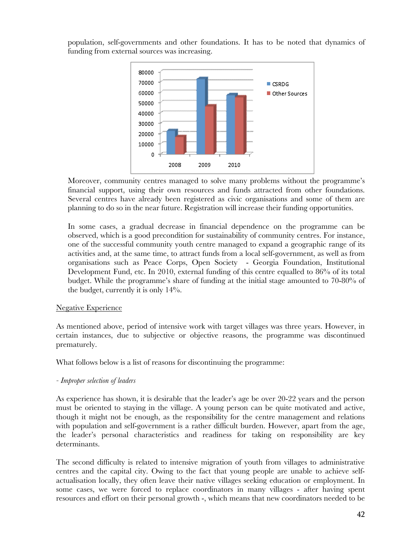population, self-governments and other foundations. It has to be noted that dynamics of funding from external sources was increasing.



Moreover, community centres managed to solve many problems without the programme's financial support, using their own resources and funds attracted from other foundations. Several centres have already been registered as civic organisations and some of them are planning to do so in the near future. Registration will increase their funding opportunities.

In some cases, a gradual decrease in financial dependence on the programme can be observed, which is a good precondition for sustainability of community centres. For instance, one of the successful community youth centre managed to expand a geographic range of its activities and, at the same time, to attract funds from a local self-government, as well as from organisations such as Peace Corps, Open Society - Georgia Foundation, Institutional Development Fund, etc. In 2010, external funding of this centre equalled to 86% of its total budget. While the programme's share of funding at the initial stage amounted to 70-80% of the budget, currently it is only 14%.

#### Negative Experience

As mentioned above, period of intensive work with target villages was three years. However, in certain instances, due to subjective or objective reasons, the programme was discontinued prematurely.

What follows below is a list of reasons for discontinuing the programme:

# *- Improper selection of leaders*

As experience has shown, it is desirable that the leader's age be over 20-22 years and the person must be oriented to staying in the village. A young person can be quite motivated and active, though it might not be enough, as the responsibility for the centre management and relations with population and self-government is a rather difficult burden. However, apart from the age, the leader's personal characteristics and readiness for taking on responsibility are key determinants.

The second difficulty is related to intensive migration of youth from villages to administrative centres and the capital city. Owing to the fact that young people are unable to achieve selfactualisation locally, they often leave their native villages seeking education or employment. In some cases, we were forced to replace coordinators in many villages - after having spent resources and effort on their personal growth -, which means that new coordinators needed to be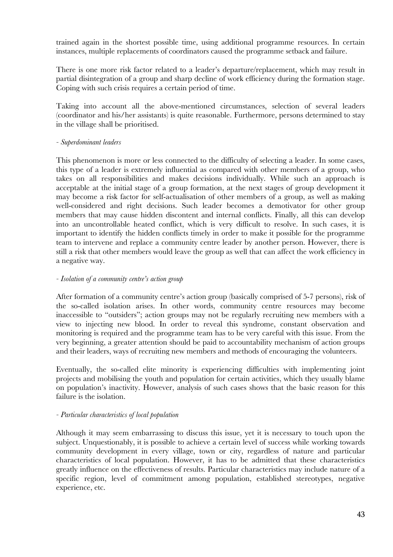trained again in the shortest possible time, using additional programme resources. In certain instances, multiple replacements of coordinators caused the programme setback and failure.

There is one more risk factor related to a leader's departure/replacement, which may result in partial disintegration of a group and sharp decline of work efficiency during the formation stage. Coping with such crisis requires a certain period of time.

Taking into account all the above-mentioned circumstances, selection of several leaders (coordinator and his/her assistants) is quite reasonable. Furthermore, persons determined to stay in the village shall be prioritised.

#### *- Superdominant leaders*

This phenomenon is more or less connected to the difficulty of selecting a leader. In some cases, this type of a leader is extremely influential as compared with other members of a group, who takes on all responsibilities and makes decisions individually. While such an approach is acceptable at the initial stage of a group formation, at the next stages of group development it may become a risk factor for self-actualisation of other members of a group, as well as making well-considered and right decisions. Such leader becomes a demotivator for other group members that may cause hidden discontent and internal conflicts. Finally, all this can develop into an uncontrollable heated conflict, which is very difficult to resolve. In such cases, it is important to identify the hidden conflicts timely in order to make it possible for the programme team to intervene and replace a community centre leader by another person. However, there is still a risk that other members would leave the group as well that can affect the work efficiency in a negative way.

#### *- Isolation of a community centre's action group*

After formation of a community centre's action group (basically comprised of 5-7 persons), risk of the so-called isolation arises. In other words, community centre resources may become inaccessible to "outsiders"; action groups may not be regularly recruiting new members with a view to injecting new blood. In order to reveal this syndrome, constant observation and monitoring is required and the programme team has to be very careful with this issue. From the very beginning, a greater attention should be paid to accountability mechanism of action groups and their leaders, ways of recruiting new members and methods of encouraging the volunteers.

Eventually, the so-called elite minority is experiencing difficulties with implementing joint projects and mobilising the youth and population for certain activities, which they usually blame on population's inactivity. However, analysis of such cases shows that the basic reason for this failure is the isolation.

#### *- Particular characteristics of local population*

Although it may seem embarrassing to discuss this issue, yet it is necessary to touch upon the subject. Unquestionably, it is possible to achieve a certain level of success while working towards community development in every village, town or city, regardless of nature and particular characteristics of local population. However, it has to be admitted that these characteristics greatly influence on the effectiveness of results. Particular characteristics may include nature of a specific region, level of commitment among population, established stereotypes, negative experience, etc.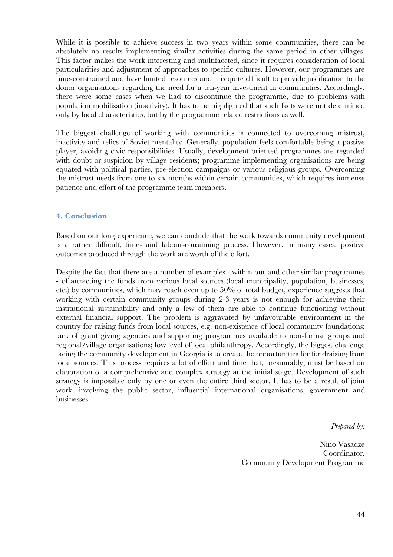While it is possible to achieve success in two years within some communities, there can be absolutely no results implementing similar activities during the same period in other villages. This factor makes the work interesting and multifaceted, since it requires consideration of local particularities and adjustment of approaches to specific cultures. However, our programmes are time-constrained and have limited resources and it is quite difficult to provide justification to the donor organisations regarding the need for a ten-year investment in communities. Accordingly, there were some cases when we had to discontinue the programme, due to problems with population mobilisation (inactivity). It has to be highlighted that such facts were not determined only by local characteristics, but by the programme related restrictions as well.

The biggest challenge of working with communities is connected to overcoming mistrust, inactivity and relics of Soviet mentality. Generally, population feels comfortable being a passive player, avoiding civic responsibilities. Usually, development oriented programmes are regarded with doubt or suspicion by village residents; programme implementing organisations are being equated with political parties, pre-election campaigns or various religious groups. Overcoming the mistrust needs from one to six months within certain communities, which requires immense patience and effort of the programme team members.

#### **4. Conclusion**

Based on our long experience, we can conclude that the work towards community development is a rather difficult, time- and labour-consuming process. However, in many cases, positive outcomes produced through the work are worth of the effort.

Despite the fact that there are a number of examples - within our and other similar programmes - of attracting the funds from various local sources (local municipality, population, businesses, etc.) by communities, which may reach even up to 50% of total budget, experience suggests that working with certain community groups during 2-3 years is not enough for achieving their institutional sustainability and only a few of them are able to continue functioning without external financial support. The problem is aggravated by unfavourable environment in the country for raising funds from local sources, e.g. non-existence of local community foundations; lack of grant giving agencies and supporting programmes available to non-formal groups and regional/village organisations; low level of local philanthropy. Accordingly, the biggest challenge facing the community development in Georgia is to create the opportunities for fundraising from local sources. This process requires a lot of effort and time that, presumably, must be based on elaboration of a comprehensive and complex strategy at the initial stage. Development of such strategy is impossible only by one or even the entire third sector. It has to be a result of joint work, involving the public sector, influential international organisations, government and businesses.

*Prepared by:*

Nino Vasadze Coordinator, Community Development Programme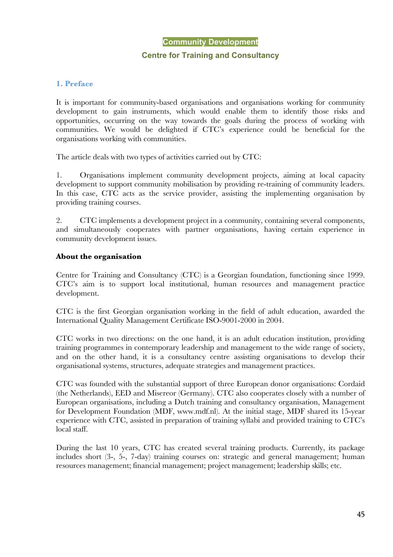#### **Community Development**

#### **Centre for Training and Consultancy**

#### **1. Preface**

It is important for community-based organisations and organisations working for community development to gain instruments, which would enable them to identify those risks and opportunities, occurring on the way towards the goals during the process of working with communities. We would be delighted if CTC's experience could be beneficial for the organisations working with communities.

The article deals with two types of activities carried out by CTC:

1. Organisations implement community development projects, aiming at local capacity development to support community mobilisation by providing re-training of community leaders. In this case, CTC acts as the service provider, assisting the implementing organisation by providing training courses.

2. CTC implements a development project in a community, containing several components, and simultaneously cooperates with partner organisations, having certain experience in community development issues.

#### **About the organisation**

Centre for Training and Consultancy (CTC) is a Georgian foundation, functioning since 1999. CTC's aim is to support local institutional, human resources and management practice development.

CTC is the first Georgian organisation working in the field of adult education, awarded the International Quality Management Certificate ISO-9001-2000 in 2004.

CTC works in two directions: on the one hand, it is an adult education institution, providing training programmes in contemporary leadership and management to the wide range of society, and on the other hand, it is a consultancy centre assisting organisations to develop their organisational systems, structures, adequate strategies and management practices.

CTC was founded with the substantial support of three European donor organisations: Cordaid (the Netherlands), EED and Misereor (Germany). CTC also cooperates closely with a number of European organisations, including a Dutch training and consultancy organisation, Management for Development Foundation (MDF, www.mdf.nl). At the initial stage, MDF shared its 15-year experience with CTC, assisted in preparation of training syllabi and provided training to CTC's local staff.

During the last 10 years, CTC has created several training products. Currently, its package includes short (3-, 5-, 7-day) training courses on: strategic and general management; human resources management; financial management; project management; leadership skills; etc.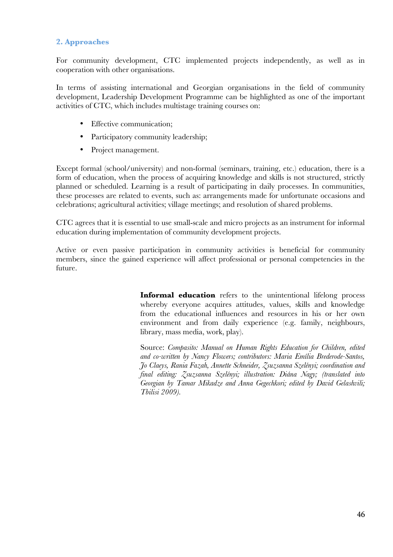# **2. Approaches**

For community development, CTC implemented projects independently, as well as in cooperation with other organisations.

In terms of assisting international and Georgian organisations in the field of community development, Leadership Development Programme can be highlighted as one of the important activities of CTC, which includes multistage training courses on:

- Effective communication;
- Participatory community leadership;
- Project management.

Except formal (school/university) and non-formal (seminars, training, etc.) education, there is a form of education, when the process of acquiring knowledge and skills is not structured, strictly planned or scheduled. Learning is a result of participating in daily processes. In communities, these processes are related to events, such as: arrangements made for unfortunate occasions and celebrations; agricultural activities; village meetings; and resolution of shared problems.

CTC agrees that it is essential to use small-scale and micro projects as an instrument for informal education during implementation of community development projects.

Active or even passive participation in community activities is beneficial for community members, since the gained experience will affect professional or personal competencies in the future.

> **Informal education** refers to the unintentional lifelong process whereby everyone acquires attitudes, values, skills and knowledge from the educational influences and resources in his or her own environment and from daily experience (e.g. family, neighbours, library, mass media, work, play).

> Source: *Compasito: Manual on Human Rights Education for Children, edited and co-written by Nancy Flowers; contributors: Maria Emília Brederode-Santos, Jo Claeys, Rania Fazah, Annette Schneider, Zsuzsanna Szelényi; coordination and final editing: Zsuzsanna Szelényi; illustration: Diána Nagy; (translated into Georgian by Tamar Mikadze and Anna Gegechkori; edited by David Gelashvili; Tbilisi 2009).*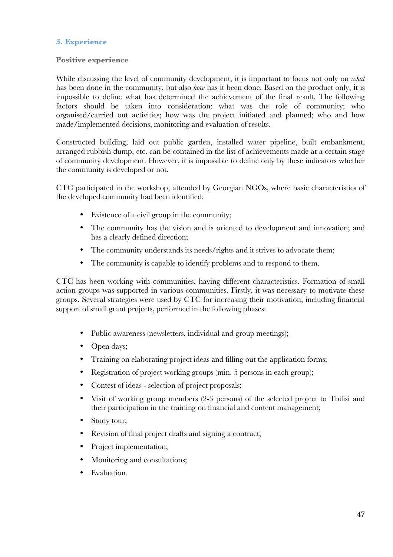# **3. Experience**

#### **Positive experience**

While discussing the level of community development, it is important to focus not only on *what* has been done in the community, but also *how* has it been done. Based on the product only, it is impossible to define what has determined the achievement of the final result. The following factors should be taken into consideration: what was the role of community; who organised/carried out activities; how was the project initiated and planned; who and how made/implemented decisions, monitoring and evaluation of results.

Constructed building, laid out public garden, installed water pipeline, built embankment, arranged rubbish dump, etc. can be contained in the list of achievements made at a certain stage of community development. However, it is impossible to define only by these indicators whether the community is developed or not.

CTC participated in the workshop, attended by Georgian NGOs, where basic characteristics of the developed community had been identified:

- Existence of a civil group in the community;
- The community has the vision and is oriented to development and innovation; and has a clearly defined direction;
- The community understands its needs/rights and it strives to advocate them:
- The community is capable to identify problems and to respond to them.

CTC has been working with communities, having different characteristics. Formation of small action groups was supported in various communities. Firstly, it was necessary to motivate these groups. Several strategies were used by CTC for increasing their motivation, including financial support of small grant projects, performed in the following phases:

- Public awareness (newsletters, individual and group meetings);
- Open days;
- Training on elaborating project ideas and filling out the application forms;
- Registration of project working groups (min. 5 persons in each group);
- Contest of ideas selection of project proposals;
- Visit of working group members (2-3 persons) of the selected project to Tbilisi and their participation in the training on financial and content management;
- Study tour;
- Revision of final project drafts and signing a contract;
- Project implementation;
- Monitoring and consultations:
- Evaluation.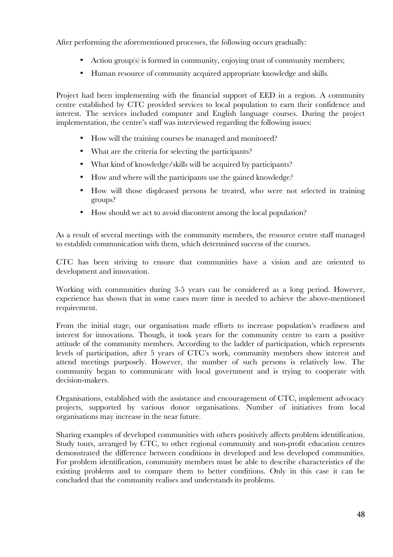After performing the aforementioned processes, the following occurs gradually:

- Action group(s) is formed in community, enjoying trust of community members;
- Human resource of community acquired appropriate knowledge and skills.

Project had been implementing with the financial support of EED in a region. A community centre established by CTC provided services to local population to earn their confidence and interest. The services included computer and English language courses. During the project implementation, the centre's staff was interviewed regarding the following issues:

- How will the training courses be managed and monitored?
- What are the criteria for selecting the participants?
- What kind of knowledge/skills will be acquired by participants?
- How and where will the participants use the gained knowledge?
- How will those displeased persons be treated, who were not selected in training groups?
- How should we act to avoid discontent among the local population?

As a result of several meetings with the community members, the resource centre staff managed to establish communication with them, which determined success of the courses.

CTC has been striving to ensure that communities have a vision and are oriented to development and innovation.

Working with communities during 3-5 years can be considered as a long period. However, experience has shown that in some cases more time is needed to achieve the above-mentioned requirement.

From the initial stage, our organisation made efforts to increase population's readiness and interest for innovations. Though, it took years for the community centre to earn a positive attitude of the community members. According to the ladder of participation, which represents levels of participation, after 5 years of CTC's work, community members show interest and attend meetings purposely. However, the number of such persons is relatively low. The community began to communicate with local government and is trying to cooperate with decision-makers.

Organisations, established with the assistance and encouragement of CTC, implement advocacy projects, supported by various donor organisations. Number of initiatives from local organisations may increase in the near future.

Sharing examples of developed communities with others positively affects problem identification. Study tours, arranged by CTC, to other regional community and non-profit education centres demonstrated the difference between conditions in developed and less developed communities. For problem identification, community members must be able to describe characteristics of the existing problems and to compare them to better conditions. Only in this case it can be concluded that the community realises and understands its problems.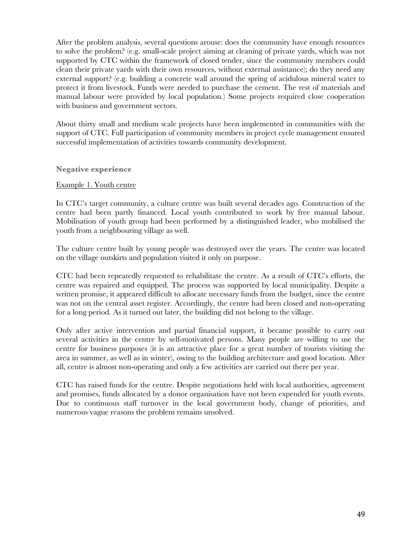After the problem analysis, several questions arouse: does the community have enough resources to solve the problem? (e.g. small-scale project aiming at cleaning of private yards, which was not supported by CTC within the framework of closed tender, since the community members could clean their private yards with their own resources, without external assistance); do they need any external support? (e.g. building a concrete wall around the spring of acidulous mineral water to protect it from livestock. Funds were needed to purchase the cement. The rest of materials and manual labour were provided by local population.) Some projects required close cooperation with business and government sectors.

About thirty small and medium scale projects have been implemented in communities with the support of CTC. Full participation of community members in project cycle management ensured successful implementation of activities towards community development.

**Negative experience**

#### Example 1. Youth centre

In CTC's target community, a culture centre was built several decades ago. Construction of the centre had been partly financed. Local youth contributed to work by free manual labour. Mobilisation of youth group had been performed by a distinguished leader, who mobilised the youth from a neighbouring village as well.

The culture centre built by young people was destroyed over the years. The centre was located on the village outskirts and population visited it only on purpose.

CTC had been repeatedly requested to rehabilitate the centre. As a result of CTC's efforts, the centre was repaired and equipped. The process was supported by local municipality. Despite a written promise, it appeared difficult to allocate necessary funds from the budget, since the centre was not on the central asset register. Accordingly, the centre had been closed and non-operating for a long period. As it turned out later, the building did not belong to the village.

Only after active intervention and partial financial support, it became possible to carry out several activities in the centre by self-motivated persons. Many people are willing to use the centre for business purposes (it is an attractive place for a great number of tourists visiting the area in summer, as well as in winter), owing to the building architecture and good location. After all, centre is almost non-operating and only a few activities are carried out there per year.

CTC has raised funds for the centre. Despite negotiations held with local authorities, agreement and promises, funds allocated by a donor organisation have not been expended for youth events. Due to continuous staff turnover in the local government body, change of priorities, and numerous vague reasons the problem remains unsolved.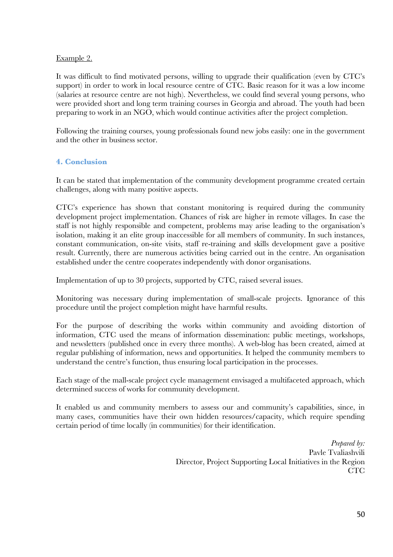# Example 2.

It was difficult to find motivated persons, willing to upgrade their qualification (even by CTC's support) in order to work in local resource centre of CTC. Basic reason for it was a low income (salaries at resource centre are not high). Nevertheless, we could find several young persons, who were provided short and long term training courses in Georgia and abroad. The youth had been preparing to work in an NGO, which would continue activities after the project completion.

Following the training courses, young professionals found new jobs easily: one in the government and the other in business sector.

# **4. Conclusion**

It can be stated that implementation of the community development programme created certain challenges, along with many positive aspects.

CTC's experience has shown that constant monitoring is required during the community development project implementation. Chances of risk are higher in remote villages. In case the staff is not highly responsible and competent, problems may arise leading to the organisation's isolation, making it an elite group inaccessible for all members of community. In such instances, constant communication, on-site visits, staff re-training and skills development gave a positive result. Currently, there are numerous activities being carried out in the centre. An organisation established under the centre cooperates independently with donor organisations.

Implementation of up to 30 projects, supported by CTC, raised several issues.

Monitoring was necessary during implementation of small-scale projects. Ignorance of this procedure until the project completion might have harmful results.

For the purpose of describing the works within community and avoiding distortion of information, CTC used the means of information dissemination: public meetings, workshops, and newsletters (published once in every three months). A web-blog has been created, aimed at regular publishing of information, news and opportunities. It helped the community members to understand the centre's function, thus ensuring local participation in the processes.

Each stage of the mall-scale project cycle management envisaged a multifaceted approach, which determined success of works for community development.

It enabled us and community members to assess our and community's capabilities, since, in many cases, communities have their own hidden resources/capacity, which require spending certain period of time locally (in communities) for their identification.

> *Prepared by:* Pavle Tvaliashvili Director, Project Supporting Local Initiatives in the Region CTC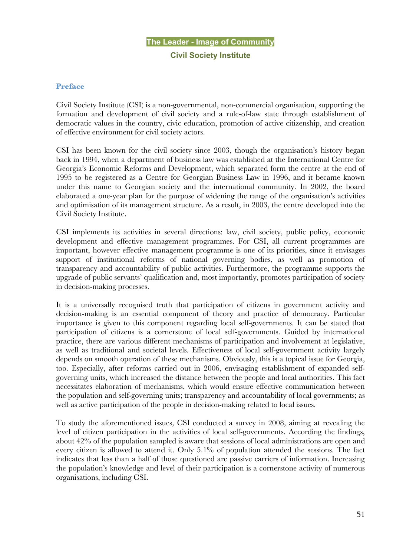# **The Leader - Image of Community Civil Society Institute**

#### **Preface**

Civil Society Institute (CSI) is a non-governmental, non-commercial organisation, supporting the formation and development of civil society and a rule-of-law state through establishment of democratic values in the country, civic education, promotion of active citizenship, and creation of effective environment for civil society actors.

CSI has been known for the civil society since 2003, though the organisation's history began back in 1994, when a department of business law was established at the International Centre for Georgia's Economic Reforms and Development, which separated form the centre at the end of 1995 to be registered as a Centre for Georgian Business Law in 1996, and it became known under this name to Georgian society and the international community. In 2002, the board elaborated a one-year plan for the purpose of widening the range of the organisation's activities and optimisation of its management structure. As a result, in 2003, the centre developed into the Civil Society Institute.

CSI implements its activities in several directions: law, civil society, public policy, economic development and effective management programmes. For CSI, all current programmes are important, however effective management programme is one of its priorities, since it envisages support of institutional reforms of national governing bodies, as well as promotion of transparency and accountability of public activities. Furthermore, the programme supports the upgrade of public servants' qualification and, most importantly, promotes participation of society in decision-making processes.

It is a universally recognised truth that participation of citizens in government activity and decision-making is an essential component of theory and practice of democracy. Particular importance is given to this component regarding local self-governments. It can be stated that participation of citizens is a cornerstone of local self-governments. Guided by international practice, there are various different mechanisms of participation and involvement at legislative, as well as traditional and societal levels. Effectiveness of local self-government activity largely depends on smooth operation of these mechanisms. Obviously, this is a topical issue for Georgia, too. Especially, after reforms carried out in 2006, envisaging establishment of expanded selfgoverning units, which increased the distance between the people and local authorities. This fact necessitates elaboration of mechanisms, which would ensure effective communication between the population and self-governing units; transparency and accountability of local governments; as well as active participation of the people in decision-making related to local issues.

To study the aforementioned issues, CSI conducted a survey in 2008, aiming at revealing the level of citizen participation in the activities of local self-governments. According the findings, about 42% of the population sampled is aware that sessions of local administrations are open and every citizen is allowed to attend it. Only 5.1% of population attended the sessions. The fact indicates that less than a half of those questioned are passive carriers of information. Increasing the population's knowledge and level of their participation is a cornerstone activity of numerous organisations, including CSI.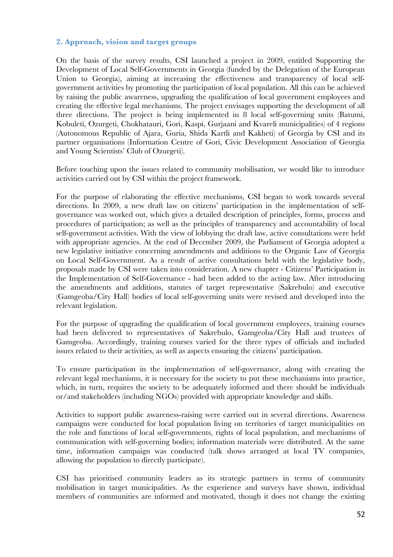# **2. Approach, vision and target groups**

On the basis of the survey results, CSI launched a project in 2009, entitled Supporting the Development of Local Self-Governments in Georgia (funded by the Delegation of the European Union to Georgia), aiming at increasing the effectiveness and transparency of local selfgovernment activities by promoting the participation of local population. All this can be achieved by raising the public awareness, upgrading the qualification of local government employees and creating the effective legal mechanisms. The project envisages supporting the development of all three directions. The project is being implemented in 8 local self-governing units (Batumi, Kobuleti, Ozurgeti, Chokhatauri, Gori, Kaspi, Gurjaani and Kvareli municipalities) of 4 regions (Autonomous Republic of Ajara, Guria, Shida Kartli and Kakheti) of Georgia by CSI and its partner organisations (Information Centre of Gori, Civic Development Association of Georgia and Young Scientists' Club of Ozurgeti).

Before touching upon the issues related to community mobilisation, we would like to introduce activities carried out by CSI within the project framework.

For the purpose of elaborating the effective mechanisms, CSI began to work towards several directions. In 2009, a new draft law on citizens' participation in the implementation of selfgovernance was worked out, which gives a detailed description of principles, forms, process and procedures of participation; as well as the principles of transparency and accountability of local self-government activities. With the view of lobbying the draft law, active consultations were held with appropriate agencies. At the end of December 2009, the Parliament of Georgia adopted a new legislative initiative concerning amendments and additions to the Organic Law of Georgia on Local Self-Government. As a result of active consultations held with the legislative body, proposals made by CSI were taken into consideration. A new chapter - Citizens' Participation in the Implementation of Self-Governance - had been added to the acting law. After introducing the amendments and additions, statutes of target representative (Sakrebulo) and executive (Gamgeoba/City Hall) bodies of local self-governing units were revised and developed into the relevant legislation.

For the purpose of upgrading the qualification of local government employees, training courses had been delivered to representatives of Sakrebulo, Gamgeoba/City Hall and trustees of Gamgeoba. Accordingly, training courses varied for the three types of officials and included issues related to their activities, as well as aspects ensuring the citizens' participation.

To ensure participation in the implementation of self-governance, along with creating the relevant legal mechanisms, it is necessary for the society to put these mechanisms into practice, which, in turn, requires the society to be adequately informed and there should be individuals or/and stakeholders (including NGOs) provided with appropriate knowledge and skills.

Activities to support public awareness-raising were carried out in several directions. Awareness campaigns were conducted for local population living on territories of target municipalities on the role and functions of local self-governments, rights of local population, and mechanisms of communication with self-governing bodies; information materials were distributed. At the same time, information campaign was conducted (talk shows arranged at local TV companies, allowing the population to directly participate).

CSI has prioritised community leaders as its strategic partners in terms of community mobilisation in target municipalities. As the experience and surveys have shown, individual members of communities are informed and motivated, though it does not change the existing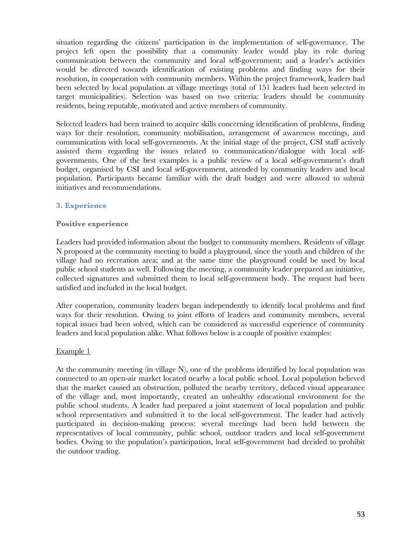situation regarding the citizens' participation in the implementation of self-governance. The project left open the possibility that a community leader would play its role during communication between the community and local self-government; and a leader's activities would be directed towards identification of existing problems and finding ways for their resolution, in cooperation with community members. Within the project framework, leaders had been selected by local population at village meetings (total of 151 leaders had been selected in target municipalities). Selection was based on two criteria: leaders should be community residents, being reputable, motivated and active members of community.

Selected leaders had been trained to acquire skills concerning identification of problems, finding ways for their resolution, community mobilisation, arrangement of awareness meetings, and communication with local self-governments. At the initial stage of the project, CSI staff actively assisted them regarding the issues related to communication/dialogue with local selfgovernments. One of the best examples is a public review of a local self-government's draft budget, organised by CSI and local self-government, attended by community leaders and local population. Participants became familiar with the draft budget and were allowed to submit initiatives and recommendations.

# **3. Experience**

#### **Positive experience**

Leaders had provided information about the budget to community members. Residents of village N proposed at the community meeting to build a playground, since the youth and children of the village had no recreation area; and at the same time the playground could be used by local public school students as well. Following the meeting, a community leader prepared an initiative, collected signatures and submitted them to local self-government body. The request had been satisfied and included in the local budget.

After cooperation, community leaders began independently to identify local problems and find ways for their resolution. Owing to joint efforts of leaders and community members, several topical issues had been solved, which can be considered as successful experience of community leaders and local population alike. What follows below is a couple of positive examples:

#### Example 1

At the community meeting (in village N), one of the problems identified by local population was connected to an open-air market located nearby a local public school. Local population believed that the market caused an obstruction, polluted the nearby territory, defaced visual appearance of the village and, most importantly, created an unhealthy educational environment for the public school students. A leader had prepared a joint statement of local population and public school representatives and submitted it to the local self-government. The leader had actively participated in decision-making process: several meetings had been held between the representatives of local community, public school, outdoor traders and local self-government bodies. Owing to the population's participation, local self-government had decided to prohibit the outdoor trading.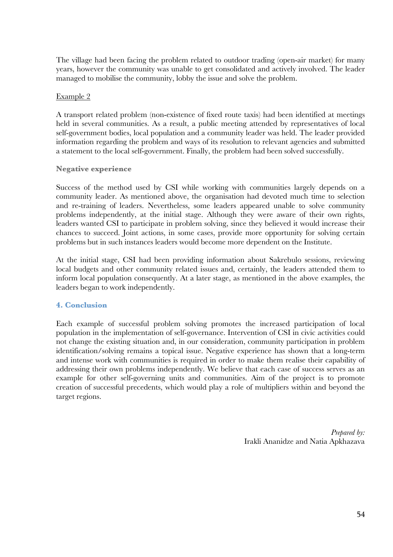The village had been facing the problem related to outdoor trading (open-air market) for many years, however the community was unable to get consolidated and actively involved. The leader managed to mobilise the community, lobby the issue and solve the problem.

#### Example 2

A transport related problem (non-existence of fixed route taxis) had been identified at meetings held in several communities. As a result, a public meeting attended by representatives of local self-government bodies, local population and a community leader was held. The leader provided information regarding the problem and ways of its resolution to relevant agencies and submitted a statement to the local self-government. Finally, the problem had been solved successfully.

#### **Negative experience**

Success of the method used by CSI while working with communities largely depends on a community leader. As mentioned above, the organisation had devoted much time to selection and re-training of leaders. Nevertheless, some leaders appeared unable to solve community problems independently, at the initial stage. Although they were aware of their own rights, leaders wanted CSI to participate in problem solving, since they believed it would increase their chances to succeed. Joint actions, in some cases, provide more opportunity for solving certain problems but in such instances leaders would become more dependent on the Institute.

At the initial stage, CSI had been providing information about Sakrebulo sessions, reviewing local budgets and other community related issues and, certainly, the leaders attended them to inform local population consequently. At a later stage, as mentioned in the above examples, the leaders began to work independently.

# **4. Conclusion**

Each example of successful problem solving promotes the increased participation of local population in the implementation of self-governance. Intervention of CSI in civic activities could not change the existing situation and, in our consideration, community participation in problem identification/solving remains a topical issue. Negative experience has shown that a long-term and intense work with communities is required in order to make them realise their capability of addressing their own problems independently. We believe that each case of success serves as an example for other self-governing units and communities. Aim of the project is to promote creation of successful precedents, which would play a role of multipliers within and beyond the target regions.

> *Prepared by:* Irakli Ananidze and Natia Apkhazava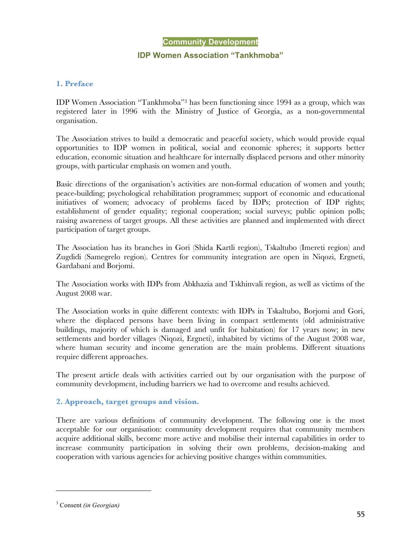#### **Community Development**

#### **IDP Women Association "Tankhmoba"**

#### **1. Preface**

IDP Women Association "Tankhmoba"3 has been functioning since 1994 as a group, which was registered later in 1996 with the Ministry of Justice of Georgia, as a non-governmental organisation.

The Association strives to build a democratic and peaceful society, which would provide equal opportunities to IDP women in political, social and economic spheres; it supports better education, economic situation and healthcare for internally displaced persons and other minority groups, with particular emphasis on women and youth.

Basic directions of the organisation's activities are non-formal education of women and youth; peace-building; psychological rehabilitation programmes; support of economic and educational initiatives of women; advocacy of problems faced by IDPs; protection of IDP rights; establishment of gender equality; regional cooperation; social surveys; public opinion polls; raising awareness of target groups. All these activities are planned and implemented with direct participation of target groups.

The Association has its branches in Gori (Shida Kartli region), Tskaltubo (Imereti region) and Zugdidi (Samegrelo region). Centres for community integration are open in Niqozi, Ergneti, Gardabani and Borjomi.

The Association works with IDPs from Abkhazia and Tskhinvali region, as well as victims of the August 2008 war.

The Association works in quite different contexts: with IDPs in Tskaltubo, Borjomi and Gori, where the displaced persons have been living in compact settlements (old administrative buildings, majority of which is damaged and unfit for habitation) for 17 years now; in new settlements and border villages (Niqozi, Ergneti), inhabited by victims of the August 2008 war, where human security and income generation are the main problems. Different situations require different approaches.

The present article deals with activities carried out by our organisation with the purpose of community development, including barriers we had to overcome and results achieved.

#### **2. Approach, target groups and vision.**

There are various definitions of community development. The following one is the most acceptable for our organisation: community development requires that community members acquire additional skills, become more active and mobilise their internal capabilities in order to increase community participation in solving their own problems, decision-making and cooperation with various agencies for achieving positive changes within communities.

 $\overline{a}$ 

<sup>3</sup> Consent *(in Georgian)*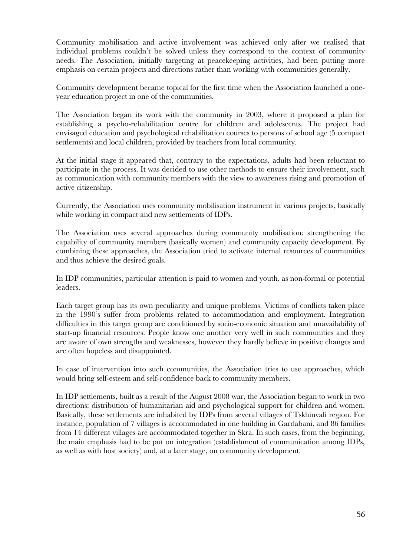Community mobilisation and active involvement was achieved only after we realised that individual problems couldn't be solved unless they correspond to the context of community needs. The Association, initially targeting at peacekeeping activities, had been putting more emphasis on certain projects and directions rather than working with communities generally.

Community development became topical for the first time when the Association launched a oneyear education project in one of the communities.

The Association began its work with the community in 2003, where it proposed a plan for establishing a psycho-rehabilitation centre for children and adolescents. The project had envisaged education and psychological rehabilitation courses to persons of school age (5 compact settlements) and local children, provided by teachers from local community.

At the initial stage it appeared that, contrary to the expectations, adults had been reluctant to participate in the process. It was decided to use other methods to ensure their involvement, such as communication with community members with the view to awareness rising and promotion of active citizenship.

Currently, the Association uses community mobilisation instrument in various projects, basically while working in compact and new settlements of IDPs.

The Association uses several approaches during community mobilisation: strengthening the capability of community members (basically women) and community capacity development. By combining these approaches, the Association tried to activate internal resources of communities and thus achieve the desired goals.

In IDP communities, particular attention is paid to women and youth, as non-formal or potential leaders.

Each target group has its own peculiarity and unique problems. Victims of conflicts taken place in the 1990's suffer from problems related to accommodation and employment. Integration difficulties in this target group are conditioned by socio-economic situation and unavailability of start-up financial resources. People know one another very well in such communities and they are aware of own strengths and weaknesses, however they hardly believe in positive changes and are often hopeless and disappointed.

In case of intervention into such communities, the Association tries to use approaches, which would bring self-esteem and self-confidence back to community members.

In IDP settlements, built as a result of the August 2008 war, the Association began to work in two directions: distribution of humanitarian aid and psychological support for children and women. Basically, these settlements are inhabited by IDPs from several villages of Tskhinvali region. For instance, population of 7 villages is accommodated in one building in Gardabani, and 86 families from 14 different villages are accommodated together in Skra. In such cases, from the beginning, the main emphasis had to be put on integration (establishment of communication among IDPs, as well as with host society) and, at a later stage, on community development.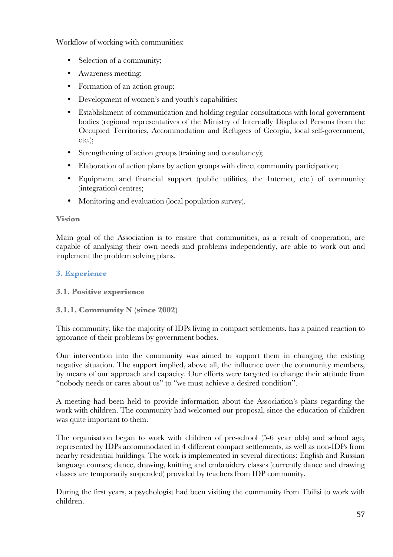Workflow of working with communities:

- Selection of a community;
- Awareness meeting;
- Formation of an action group;
- Development of women's and youth's capabilities;
- Establishment of communication and holding regular consultations with local government bodies (regional representatives of the Ministry of Internally Displaced Persons from the Occupied Territories, Accommodation and Refugees of Georgia, local self-government, etc.);
- Strengthening of action groups (training and consultancy);
- Elaboration of action plans by action groups with direct community participation;
- Equipment and financial support (public utilities, the Internet, etc.) of community (integration) centres;
- Monitoring and evaluation (local population survey).

# **Vision**

Main goal of the Association is to ensure that communities, as a result of cooperation, are capable of analysing their own needs and problems independently, are able to work out and implement the problem solving plans.

# **3. Experience**

# **3.1. Positive experience**

# **3.1.1. Community N (since 2002)**

This community, like the majority of IDPs living in compact settlements, has a pained reaction to ignorance of their problems by government bodies.

Our intervention into the community was aimed to support them in changing the existing negative situation. The support implied, above all, the influence over the community members, by means of our approach and capacity. Our efforts were targeted to change their attitude from "nobody needs or cares about us" to "we must achieve a desired condition".

A meeting had been held to provide information about the Association's plans regarding the work with children. The community had welcomed our proposal, since the education of children was quite important to them.

The organisation began to work with children of pre-school (5-6 year olds) and school age, represented by IDPs accommodated in 4 different compact settlements, as well as non-IDPs from nearby residential buildings. The work is implemented in several directions: English and Russian language courses; dance, drawing, knitting and embroidery classes (currently dance and drawing classes are temporarily suspended) provided by teachers from IDP community.

During the first years, a psychologist had been visiting the community from Tbilisi to work with children.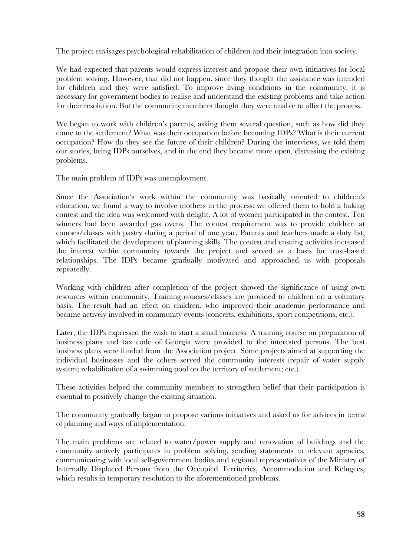The project envisages psychological rehabilitation of children and their integration into society.

We had expected that parents would express interest and propose their own initiatives for local problem solving. However, that did not happen, since they thought the assistance was intended for children and they were satisfied. To improve living conditions in the community, it is necessary for government bodies to realise and understand the existing problems and take action for their resolution. But the community members thought they were unable to affect the process.

We began to work with children's parents, asking them several question, such as how did they come to the settlement? What was their occupation before becoming IDPs? What is their current occupation? How do they see the future of their children? During the interviews, we told them our stories, being IDPs ourselves, and in the end they became more open, discussing the existing problems.

The main problem of IDPs was unemployment.

Since the Association's work within the community was basically oriented to children's education, we found a way to involve mothers in the process: we offered them to hold a baking contest and the idea was welcomed with delight. A lot of women participated in the contest. Ten winners had been awarded gas ovens. The contest requirement was to provide children at courses/classes with pastry during a period of one year. Parents and teachers made a duty list, which facilitated the development of planning skills. The contest and ensuing activities increased the interest within community towards the project and served as a basis for trust-based relationships. The IDPs became gradually motivated and approached us with proposals repeatedly.

Working with children after completion of the project showed the significance of using own resources within community. Training courses/classes are provided to children on a voluntary basis. The result had an effect on children, who improved their academic performance and became actively involved in community events (concerts, exhibitions, sport competitions, etc.).

Later, the IDPs expressed the wish to start a small business. A training course on preparation of business plans and tax code of Georgia were provided to the interested persons. The best business plans were funded from the Association project. Some projects aimed at supporting the individual businesses and the others served the community interests (repair of water supply system; rehabilitation of a swimming pool on the territory of settlement; etc.).

These activities helped the community members to strengthen belief that their participation is essential to positively change the existing situation.

The community gradually began to propose various initiatives and asked us for advices in terms of planning and ways of implementation.

The main problems are related to water/power supply and renovation of buildings and the community actively participates in problem solving, sending statements to relevant agencies, communicating with local self-government bodies and regional representatives of the Ministry of Internally Displaced Persons from the Occupied Territories, Accommodation and Refugees, which results in temporary resolution to the aforementioned problems.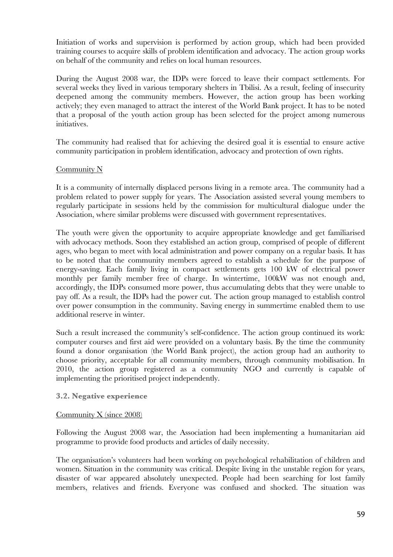Initiation of works and supervision is performed by action group, which had been provided training courses to acquire skills of problem identification and advocacy. The action group works on behalf of the community and relies on local human resources.

During the August 2008 war, the IDPs were forced to leave their compact settlements. For several weeks they lived in various temporary shelters in Tbilisi. As a result, feeling of insecurity deepened among the community members. However, the action group has been working actively; they even managed to attract the interest of the World Bank project. It has to be noted that a proposal of the youth action group has been selected for the project among numerous initiatives.

The community had realised that for achieving the desired goal it is essential to ensure active community participation in problem identification, advocacy and protection of own rights.

# Community N

It is a community of internally displaced persons living in a remote area. The community had a problem related to power supply for years. The Association assisted several young members to regularly participate in sessions held by the commission for multicultural dialogue under the Association, where similar problems were discussed with government representatives.

The youth were given the opportunity to acquire appropriate knowledge and get familiarised with advocacy methods. Soon they established an action group, comprised of people of different ages, who began to meet with local administration and power company on a regular basis. It has to be noted that the community members agreed to establish a schedule for the purpose of energy-saving. Each family living in compact settlements gets 100 kW of electrical power monthly per family member free of charge. In wintertime, 100kW was not enough and, accordingly, the IDPs consumed more power, thus accumulating debts that they were unable to pay off. As a result, the IDPs had the power cut. The action group managed to establish control over power consumption in the community. Saving energy in summertime enabled them to use additional reserve in winter.

Such a result increased the community's self-confidence. The action group continued its work: computer courses and first aid were provided on a voluntary basis. By the time the community found a donor organisation (the World Bank project), the action group had an authority to choose priority, acceptable for all community members, through community mobilisation. In 2010, the action group registered as a community NGO and currently is capable of implementing the prioritised project independently.

#### **3.2. Negative experience**

#### Community X (since 2008)

Following the August 2008 war, the Association had been implementing a humanitarian aid programme to provide food products and articles of daily necessity.

The organisation's volunteers had been working on psychological rehabilitation of children and women. Situation in the community was critical. Despite living in the unstable region for years, disaster of war appeared absolutely unexpected. People had been searching for lost family members, relatives and friends. Everyone was confused and shocked. The situation was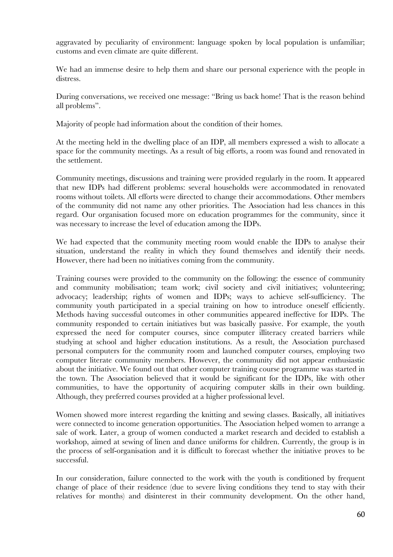aggravated by peculiarity of environment: language spoken by local population is unfamiliar; customs and even climate are quite different.

We had an immense desire to help them and share our personal experience with the people in distress.

During conversations, we received one message: "Bring us back home! That is the reason behind all problems".

Majority of people had information about the condition of their homes.

At the meeting held in the dwelling place of an IDP, all members expressed a wish to allocate a space for the community meetings. As a result of big efforts, a room was found and renovated in the settlement.

Community meetings, discussions and training were provided regularly in the room. It appeared that new IDPs had different problems: several households were accommodated in renovated rooms without toilets. All efforts were directed to change their accommodations. Other members of the community did not name any other priorities. The Association had less chances in this regard. Our organisation focused more on education programmes for the community, since it was necessary to increase the level of education among the IDPs.

We had expected that the community meeting room would enable the IDPs to analyse their situation, understand the reality in which they found themselves and identify their needs. However, there had been no initiatives coming from the community.

Training courses were provided to the community on the following: the essence of community and community mobilisation; team work; civil society and civil initiatives; volunteering; advocacy; leadership; rights of women and IDPs; ways to achieve self-sufficiency. The community youth participated in a special training on how to introduce oneself efficiently. Methods having successful outcomes in other communities appeared ineffective for IDPs. The community responded to certain initiatives but was basically passive. For example, the youth expressed the need for computer courses, since computer illiteracy created barriers while studying at school and higher education institutions. As a result, the Association purchased personal computers for the community room and launched computer courses, employing two computer literate community members. However, the community did not appear enthusiastic about the initiative. We found out that other computer training course programme was started in the town. The Association believed that it would be significant for the IDPs, like with other communities, to have the opportunity of acquiring computer skills in their own building. Although, they preferred courses provided at a higher professional level.

Women showed more interest regarding the knitting and sewing classes. Basically, all initiatives were connected to income generation opportunities. The Association helped women to arrange a sale of work. Later, a group of women conducted a market research and decided to establish a workshop, aimed at sewing of linen and dance uniforms for children. Currently, the group is in the process of self-organisation and it is difficult to forecast whether the initiative proves to be successful.

In our consideration, failure connected to the work with the youth is conditioned by frequent change of place of their residence (due to severe living conditions they tend to stay with their relatives for months) and disinterest in their community development. On the other hand,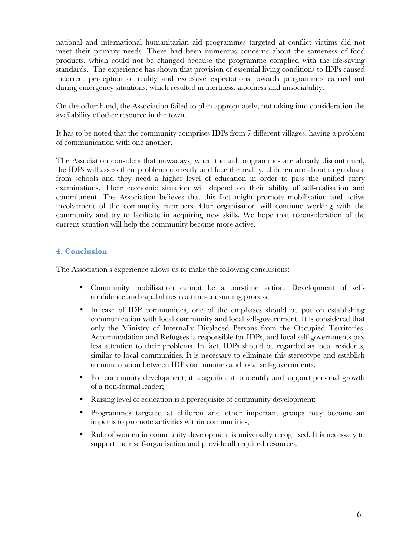national and international humanitarian aid programmes targeted at conflict victims did not meet their primary needs. There had been numerous concerns about the sameness of food products, which could not be changed because the programme complied with the life-saving standards. The experience has shown that provision of essential living conditions to IDPs caused incorrect perception of reality and excessive expectations towards programmes carried out during emergency situations, which resulted in inertness, aloofness and unsociability.

On the other hand, the Association failed to plan appropriately, not taking into consideration the availability of other resource in the town.

It has to be noted that the community comprises IDPs from 7 different villages, having a problem of communication with one another.

The Association considers that nowadays, when the aid programmes are already discontinued, the IDPs will assess their problems correctly and face the reality: children are about to graduate from schools and they need a higher level of education in order to pass the unified entry examinations. Their economic situation will depend on their ability of self-realisation and commitment. The Association believes that this fact might promote mobilisation and active involvement of the community members. Our organisation will continue working with the community and try to facilitate in acquiring new skills. We hope that reconsideration of the current situation will help the community become more active.

# **4. Conclusion**

The Association's experience allows us to make the following conclusions:

- Community mobilisation cannot be a one-time action. Development of selfconfidence and capabilities is a time-consuming process;
- In case of IDP communities, one of the emphases should be put on establishing communication with local community and local self-government. It is considered that only the Ministry of Internally Displaced Persons from the Occupied Territories, Accommodation and Refugees is responsible for IDPs, and local self-governments pay less attention to their problems. In fact, IDPs should be regarded as local residents, similar to local communities. It is necessary to eliminate this stereotype and establish communication between IDP communities and local self-governments;
- For community development, it is significant to identify and support personal growth of a non-formal leader;
- Raising level of education is a prerequisite of community development;
- Programmes targeted at children and other important groups may become an impetus to promote activities within communities;
- Role of women in community development is universally recognised. It is necessary to support their self-organisation and provide all required resources;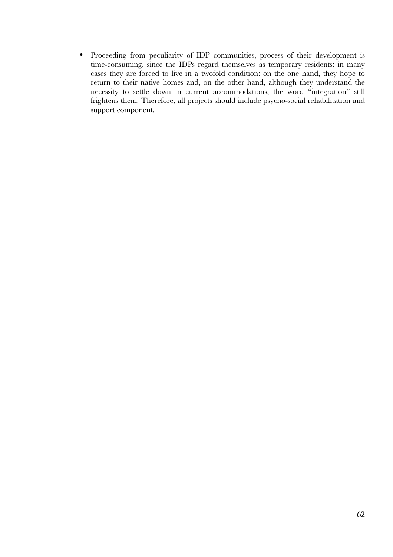• Proceeding from peculiarity of IDP communities, process of their development is time-consuming, since the IDPs regard themselves as temporary residents; in many cases they are forced to live in a twofold condition: on the one hand, they hope to return to their native homes and, on the other hand, although they understand the necessity to settle down in current accommodations, the word "integration" still frightens them. Therefore, all projects should include psycho-social rehabilitation and support component.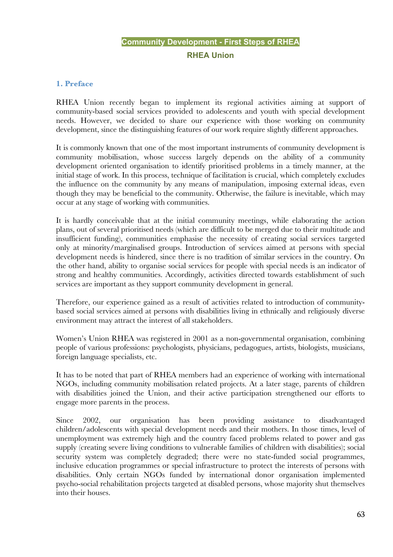# **Community Development - First Steps of RHEA RHEA Union**

# **1. Preface**

RHEA Union recently began to implement its regional activities aiming at support of community-based social services provided to adolescents and youth with special development needs. However, we decided to share our experience with those working on community development, since the distinguishing features of our work require slightly different approaches.

It is commonly known that one of the most important instruments of community development is community mobilisation, whose success largely depends on the ability of a community development oriented organisation to identify prioritised problems in a timely manner, at the initial stage of work. In this process, technique of facilitation is crucial, which completely excludes the influence on the community by any means of manipulation, imposing external ideas, even though they may be beneficial to the community. Otherwise, the failure is inevitable, which may occur at any stage of working with communities.

It is hardly conceivable that at the initial community meetings, while elaborating the action plans, out of several prioritised needs (which are difficult to be merged due to their multitude and insufficient funding), communities emphasise the necessity of creating social services targeted only at minority/marginalised groups. Introduction of services aimed at persons with special development needs is hindered, since there is no tradition of similar services in the country. On the other hand, ability to organise social services for people with special needs is an indicator of strong and healthy communities. Accordingly, activities directed towards establishment of such services are important as they support community development in general.

Therefore, our experience gained as a result of activities related to introduction of communitybased social services aimed at persons with disabilities living in ethnically and religiously diverse environment may attract the interest of all stakeholders.

Women's Union RHEA was registered in 2001 as a non-governmental organisation, combining people of various professions: psychologists, physicians, pedagogues, artists, biologists, musicians, foreign language specialists, etc.

It has to be noted that part of RHEA members had an experience of working with international NGOs, including community mobilisation related projects. At a later stage, parents of children with disabilities joined the Union, and their active participation strengthened our efforts to engage more parents in the process.

Since 2002, our organisation has been providing assistance to disadvantaged children/adolescents with special development needs and their mothers. In those times, level of unemployment was extremely high and the country faced problems related to power and gas supply (creating severe living conditions to vulnerable families of children with disabilities); social security system was completely degraded; there were no state-funded social programmes, inclusive education programmes or special infrastructure to protect the interests of persons with disabilities. Only certain NGOs funded by international donor organisation implemented psycho-social rehabilitation projects targeted at disabled persons, whose majority shut themselves into their houses.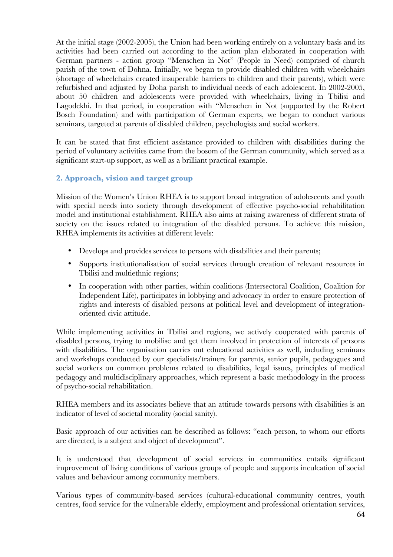At the initial stage (2002-2005), the Union had been working entirely on a voluntary basis and its activities had been carried out according to the action plan elaborated in cooperation with German partners - action group "Menschen in Not" (People in Need) comprised of church parish of the town of Dohna. Initially, we began to provide disabled children with wheelchairs (shortage of wheelchairs created insuperable barriers to children and their parents), which were refurbished and adjusted by Doha parish to individual needs of each adolescent. In 2002-2005, about 50 children and adolescents were provided with wheelchairs, living in Tbilisi and Lagodekhi. In that period, in cooperation with "Menschen in Not (supported by the Robert Bosch Foundation) and with participation of German experts, we began to conduct various seminars, targeted at parents of disabled children, psychologists and social workers.

It can be stated that first efficient assistance provided to children with disabilities during the period of voluntary activities came from the bosom of the German community, which served as a significant start-up support, as well as a brilliant practical example.

# **2. Approach, vision and target group**

Mission of the Women's Union RHEA is to support broad integration of adolescents and youth with special needs into society through development of effective psycho-social rehabilitation model and institutional establishment. RHEA also aims at raising awareness of different strata of society on the issues related to integration of the disabled persons. To achieve this mission, RHEA implements its activities at different levels:

- Develops and provides services to persons with disabilities and their parents;
- Supports institutionalisation of social services through creation of relevant resources in Tbilisi and multiethnic regions;
- In cooperation with other parties, within coalitions (Intersectoral Coalition, Coalition for Independent Life), participates in lobbying and advocacy in order to ensure protection of rights and interests of disabled persons at political level and development of integrationoriented civic attitude.

While implementing activities in Tbilisi and regions, we actively cooperated with parents of disabled persons, trying to mobilise and get them involved in protection of interests of persons with disabilities. The organisation carries out educational activities as well, including seminars and workshops conducted by our specialists/trainers for parents, senior pupils, pedagogues and social workers on common problems related to disabilities, legal issues, principles of medical pedagogy and multidisciplinary approaches, which represent a basic methodology in the process of psycho-social rehabilitation.

RHEA members and its associates believe that an attitude towards persons with disabilities is an indicator of level of societal morality (social sanity).

Basic approach of our activities can be described as follows: "each person, to whom our efforts are directed, is a subject and object of development".

It is understood that development of social services in communities entails significant improvement of living conditions of various groups of people and supports inculcation of social values and behaviour among community members.

Various types of community-based services (cultural-educational community centres, youth centres, food service for the vulnerable elderly, employment and professional orientation services,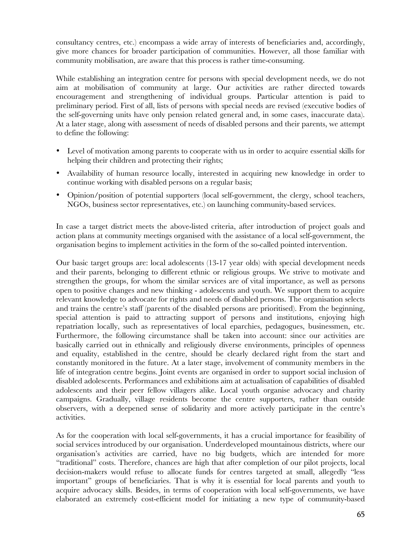consultancy centres, etc.) encompass a wide array of interests of beneficiaries and, accordingly, give more chances for broader participation of communities. However, all those familiar with community mobilisation, are aware that this process is rather time-consuming.

While establishing an integration centre for persons with special development needs, we do not aim at mobilisation of community at large. Our activities are rather directed towards encouragement and strengthening of individual groups. Particular attention is paid to preliminary period. First of all, lists of persons with special needs are revised (executive bodies of the self-governing units have only pension related general and, in some cases, inaccurate data). At a later stage, along with assessment of needs of disabled persons and their parents, we attempt to define the following:

- Level of motivation among parents to cooperate with us in order to acquire essential skills for helping their children and protecting their rights;
- Availability of human resource locally, interested in acquiring new knowledge in order to continue working with disabled persons on a regular basis;
- Opinion/position of potential supporters (local self-government, the clergy, school teachers, NGOs, business sector representatives, etc.) on launching community-based services.

In case a target district meets the above-listed criteria, after introduction of project goals and action plans at community meetings organised with the assistance of a local self-government, the organisation begins to implement activities in the form of the so-called pointed intervention.

Our basic target groups are: local adolescents (13-17 year olds) with special development needs and their parents, belonging to different ethnic or religious groups. We strive to motivate and strengthen the groups, for whom the similar services are of vital importance, as well as persons open to positive changes and new thinking - adolescents and youth. We support them to acquire relevant knowledge to advocate for rights and needs of disabled persons. The organisation selects and trains the centre's staff (parents of the disabled persons are prioritised). From the beginning, special attention is paid to attracting support of persons and institutions, enjoying high repatriation locally, such as representatives of local eparchies, pedagogues, businessmen, etc. Furthermore, the following circumstance shall be taken into account: since our activities are basically carried out in ethnically and religiously diverse environments, principles of openness and equality, established in the centre, should be clearly declared right from the start and constantly monitored in the future. At a later stage, involvement of community members in the life of integration centre begins. Joint events are organised in order to support social inclusion of disabled adolescents. Performances and exhibitions aim at actualisation of capabilities of disabled adolescents and their peer fellow villagers alike. Local youth organise advocacy and charity campaigns. Gradually, village residents become the centre supporters, rather than outside observers, with a deepened sense of solidarity and more actively participate in the centre's activities.

As for the cooperation with local self-governments, it has a crucial importance for feasibility of social services introduced by our organisation. Underdeveloped mountainous districts, where our organisation's activities are carried, have no big budgets, which are intended for more "traditional" costs. Therefore, chances are high that after completion of our pilot projects, local decision-makers would refuse to allocate funds for centres targeted at small, allegedly "less important" groups of beneficiaries. That is why it is essential for local parents and youth to acquire advocacy skills. Besides, in terms of cooperation with local self-governments, we have elaborated an extremely cost-efficient model for initiating a new type of community-based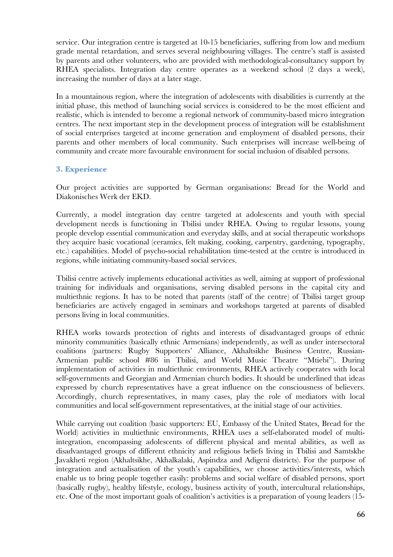service. Our integration centre is targeted at 10-15 beneficiaries, suffering from low and medium grade mental retardation, and serves several neighbouring villages. The centre's staff is assisted by parents and other volunteers, who are provided with methodological-consultancy support by RHEA specialists. Integration day centre operates as a weekend school (2 days a week), increasing the number of days at a later stage.

In a mountainous region, where the integration of adolescents with disabilities is currently at the initial phase, this method of launching social services is considered to be the most efficient and realistic, which is intended to become a regional network of community-based micro integration centres. The next important step in the development process of integration will be establishment of social enterprises targeted at income generation and employment of disabled persons, their parents and other members of local community. Such enterprises will increase well-being of community and create more favourable environment for social inclusion of disabled persons.

# **3. Experience**

Our project activities are supported by German organisations: Bread for the World and Diakonisches Werk der EKD.

Currently, a model integration day centre targeted at adolescents and youth with special development needs is functioning in Tbilisi under RHEA. Owing to regular lessons, young people develop essential communication and everyday skills, and at social therapeutic workshops they acquire basic vocational (ceramics, felt making, cooking, carpentry, gardening, typography, etc.) capabilities. Model of psycho-social rehabilitation time-tested at the centre is introduced in regions, while initiating community-based social services.

Tbilisi centre actively implements educational activities as well, aiming at support of professional training for individuals and organisations, serving disabled persons in the capital city and multiethnic regions. It has to be noted that parents (staff of the centre) of Tbilisi target group beneficiaries are actively engaged in seminars and workshops targeted at parents of disabled persons living in local communities.

RHEA works towards protection of rights and interests of disadvantaged groups of ethnic minority communities (basically ethnic Armenians) independently, as well as under intersectoral coalitions (partners: Rugby Supporters' Alliance, Akhaltsikhe Business Centre, Russian-Armenian public school #86 in Tbilisi, and World Music Theatre "Mtiebi"). During implementation of activities in multiethnic environments, RHEA actively cooperates with local self-governments and Georgian and Armenian church bodies. It should be underlined that ideas expressed by church representatives have a great influence on the consciousness of believers. Accordingly, church representatives, in many cases, play the role of mediators with local communities and local self-government representatives, at the initial stage of our activities.

While carrying out coalition (basic supporters: EU, Embassy of the United States, Bread for the World) activities in multiethnic environments, RHEA uses a self-elaborated model of multiintegration, encompassing adolescents of different physical and mental abilities, as well as disadvantaged groups of different ethnicity and religious beliefs living in Tbilisi and Samtskhe Javakheti region (Akhaltsikhe, Akhalkalaki, Aspindza and Adigeni districts). For the purpose of integration and actualisation of the youth's capabilities, we choose activities/interests, which enable us to bring people together easily: problems and social welfare of disabled persons, sport (basically rugby), healthy lifestyle, ecology, business activity of youth, intercultural relationships, etc. One of the most important goals of coalition's activities is a preparation of young leaders (15-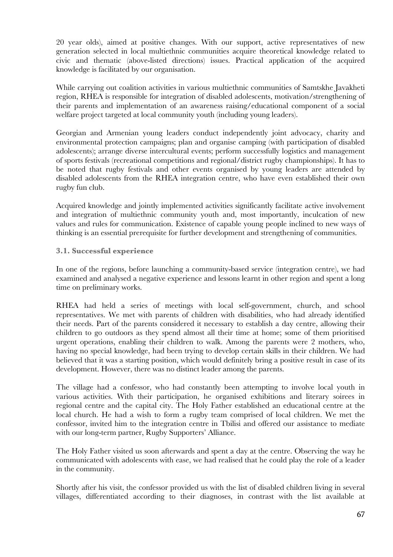20 year olds), aimed at positive changes. With our support, active representatives of new generation selected in local multiethnic communities acquire theoretical knowledge related to civic and thematic (above-listed directions) issues. Practical application of the acquired knowledge is facilitated by our organisation.

While carrying out coalition activities in various multiethnic communities of Samtskhe Javakheti region, RHEA is responsible for integration of disabled adolescents, motivation/strengthening of their parents and implementation of an awareness raising/educational component of a social welfare project targeted at local community youth (including young leaders).

Georgian and Armenian young leaders conduct independently joint advocacy, charity and environmental protection campaigns; plan and organise camping (with participation of disabled adolescents); arrange diverse intercultural events; perform successfully logistics and management of sports festivals (recreational competitions and regional/district rugby championships). It has to be noted that rugby festivals and other events organised by young leaders are attended by disabled adolescents from the RHEA integration centre, who have even established their own rugby fun club.

Acquired knowledge and jointly implemented activities significantly facilitate active involvement and integration of multiethnic community youth and, most importantly, inculcation of new values and rules for communication. Existence of capable young people inclined to new ways of thinking is an essential prerequisite for further development and strengthening of communities.

# **3.1. Successful experience**

In one of the regions, before launching a community-based service (integration centre), we had examined and analysed a negative experience and lessons learnt in other region and spent a long time on preliminary works.

RHEA had held a series of meetings with local self-government, church, and school representatives. We met with parents of children with disabilities, who had already identified their needs. Part of the parents considered it necessary to establish a day centre, allowing their children to go outdoors as they spend almost all their time at home; some of them prioritised urgent operations, enabling their children to walk. Among the parents were 2 mothers, who, having no special knowledge, had been trying to develop certain skills in their children. We had believed that it was a starting position, which would definitely bring a positive result in case of its development. However, there was no distinct leader among the parents.

The village had a confessor, who had constantly been attempting to involve local youth in various activities. With their participation, he organised exhibitions and literary soirees in regional centre and the capital city. The Holy Father established an educational centre at the local church. He had a wish to form a rugby team comprised of local children. We met the confessor, invited him to the integration centre in Tbilisi and offered our assistance to mediate with our long-term partner, Rugby Supporters' Alliance.

The Holy Father visited us soon afterwards and spent a day at the centre. Observing the way he communicated with adolescents with ease, we had realised that he could play the role of a leader in the community.

Shortly after his visit, the confessor provided us with the list of disabled children living in several villages, differentiated according to their diagnoses, in contrast with the list available at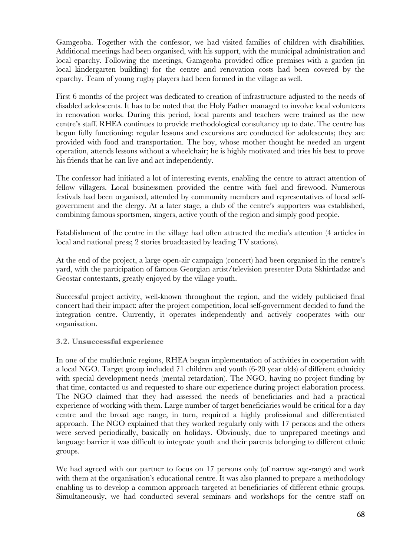Gamgeoba. Together with the confessor, we had visited families of children with disabilities. Additional meetings had been organised, with his support, with the municipal administration and local eparchy. Following the meetings, Gamgeoba provided office premises with a garden (in local kindergarten building) for the centre and renovation costs had been covered by the eparchy. Team of young rugby players had been formed in the village as well.

First 6 months of the project was dedicated to creation of infrastructure adjusted to the needs of disabled adolescents. It has to be noted that the Holy Father managed to involve local volunteers in renovation works. During this period, local parents and teachers were trained as the new centre's staff. RHEA continues to provide methodological consultancy up to date. The centre has begun fully functioning: regular lessons and excursions are conducted for adolescents; they are provided with food and transportation. The boy, whose mother thought he needed an urgent operation, attends lessons without a wheelchair; he is highly motivated and tries his best to prove his friends that he can live and act independently.

The confessor had initiated a lot of interesting events, enabling the centre to attract attention of fellow villagers. Local businessmen provided the centre with fuel and firewood. Numerous festivals had been organised, attended by community members and representatives of local selfgovernment and the clergy. At a later stage, a club of the centre's supporters was established, combining famous sportsmen, singers, active youth of the region and simply good people.

Establishment of the centre in the village had often attracted the media's attention (4 articles in local and national press; 2 stories broadcasted by leading TV stations).

At the end of the project, a large open-air campaign (concert) had been organised in the centre's yard, with the participation of famous Georgian artist/television presenter Duta Skhirtladze and Geostar contestants, greatly enjoyed by the village youth.

Successful project activity, well-known throughout the region, and the widely publicised final concert had their impact: after the project competition, local self-government decided to fund the integration centre. Currently, it operates independently and actively cooperates with our organisation.

# **3.2. Unsuccessful experience**

In one of the multiethnic regions, RHEA began implementation of activities in cooperation with a local NGO. Target group included 71 children and youth (6-20 year olds) of different ethnicity with special development needs (mental retardation). The NGO, having no project funding by that time, contacted us and requested to share our experience during project elaboration process. The NGO claimed that they had assessed the needs of beneficiaries and had a practical experience of working with them. Large number of target beneficiaries would be critical for a day centre and the broad age range, in turn, required a highly professional and differentiated approach. The NGO explained that they worked regularly only with 17 persons and the others were served periodically, basically on holidays. Obviously, due to unprepared meetings and language barrier it was difficult to integrate youth and their parents belonging to different ethnic groups.

We had agreed with our partner to focus on 17 persons only (of narrow age-range) and work with them at the organisation's educational centre. It was also planned to prepare a methodology enabling us to develop a common approach targeted at beneficiaries of different ethnic groups. Simultaneously, we had conducted several seminars and workshops for the centre staff on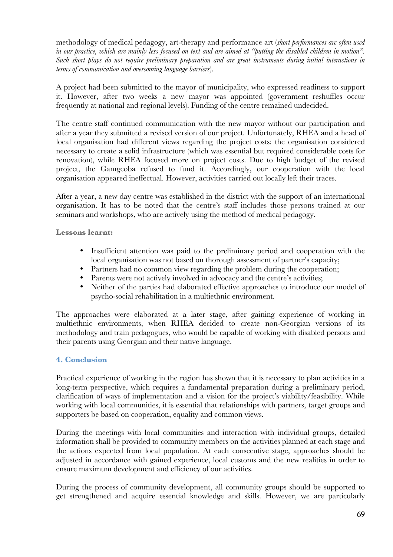methodology of medical pedagogy, art-therapy and performance art (*short performances are often used in our practice, which are mainly less focused on text and are aimed at "putting the disabled children in motion". Such short plays do not require preliminary preparation and are great instruments during initial interactions in terms of communication and overcoming language barriers*).

A project had been submitted to the mayor of municipality, who expressed readiness to support it. However, after two weeks a new mayor was appointed (government reshuffles occur frequently at national and regional levels). Funding of the centre remained undecided.

The centre staff continued communication with the new mayor without our participation and after a year they submitted a revised version of our project. Unfortunately, RHEA and a head of local organisation had different views regarding the project costs: the organisation considered necessary to create a solid infrastructure (which was essential but required considerable costs for renovation), while RHEA focused more on project costs. Due to high budget of the revised project, the Gamgeoba refused to fund it. Accordingly, our cooperation with the local organisation appeared ineffectual. However, activities carried out locally left their traces.

After a year, a new day centre was established in the district with the support of an international organisation. It has to be noted that the centre's staff includes those persons trained at our seminars and workshops, who are actively using the method of medical pedagogy.

**Lessons learnt:**

- Insufficient attention was paid to the preliminary period and cooperation with the local organisation was not based on thorough assessment of partner's capacity;
- Partners had no common view regarding the problem during the cooperation;
- Parents were not actively involved in advocacy and the centre's activities;
- Neither of the parties had elaborated effective approaches to introduce our model of psycho-social rehabilitation in a multiethnic environment.

The approaches were elaborated at a later stage, after gaining experience of working in multiethnic environments, when RHEA decided to create non-Georgian versions of its methodology and train pedagogues, who would be capable of working with disabled persons and their parents using Georgian and their native language.

# **4. Conclusion**

Practical experience of working in the region has shown that it is necessary to plan activities in a long-term perspective, which requires a fundamental preparation during a preliminary period, clarification of ways of implementation and a vision for the project's viability/feasibility. While working with local communities, it is essential that relationships with partners, target groups and supporters be based on cooperation, equality and common views.

During the meetings with local communities and interaction with individual groups, detailed information shall be provided to community members on the activities planned at each stage and the actions expected from local population. At each consecutive stage, approaches should be adjusted in accordance with gained experience, local customs and the new realities in order to ensure maximum development and efficiency of our activities.

During the process of community development, all community groups should be supported to get strengthened and acquire essential knowledge and skills. However, we are particularly